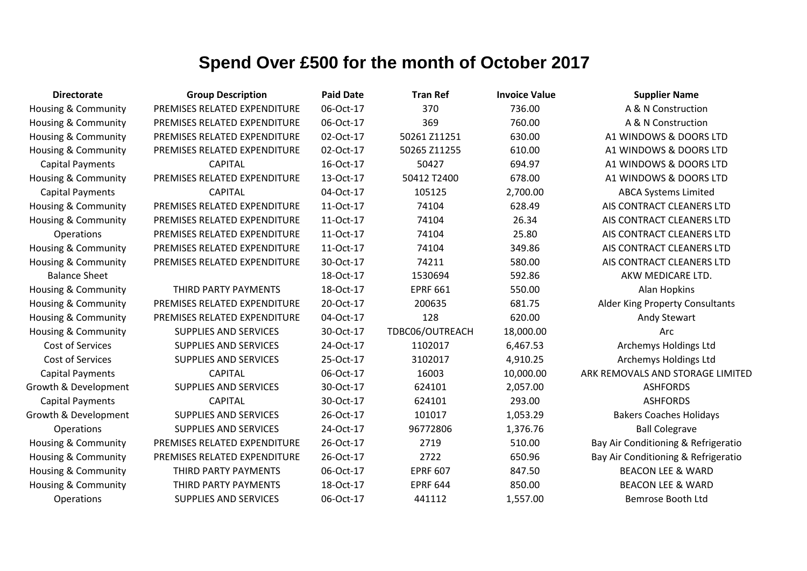| <b>Directorate</b>             | <b>Group Description</b>     | <b>Paid Date</b> | <b>Tran Ref</b> | <b>Invoice Value</b> | <b>Supplier Name</b>                |
|--------------------------------|------------------------------|------------------|-----------------|----------------------|-------------------------------------|
| Housing & Community            | PREMISES RELATED EXPENDITURE | 06-Oct-17        | 370             | 736.00               | A & N Construction                  |
| Housing & Community            | PREMISES RELATED EXPENDITURE | 06-Oct-17        | 369             | 760.00               | A & N Construction                  |
| Housing & Community            | PREMISES RELATED EXPENDITURE | 02-Oct-17        | 50261 Z11251    | 630.00               | A1 WINDOWS & DOORS LTD              |
| Housing & Community            | PREMISES RELATED EXPENDITURE | 02-Oct-17        | 50265 Z11255    | 610.00               | A1 WINDOWS & DOORS LTD              |
| <b>Capital Payments</b>        | <b>CAPITAL</b>               | 16-Oct-17        | 50427           | 694.97               | A1 WINDOWS & DOORS LTD              |
| Housing & Community            | PREMISES RELATED EXPENDITURE | 13-Oct-17        | 50412 T2400     | 678.00               | A1 WINDOWS & DOORS LTD              |
| <b>Capital Payments</b>        | <b>CAPITAL</b>               | 04-Oct-17        | 105125          | 2,700.00             | <b>ABCA Systems Limited</b>         |
| <b>Housing &amp; Community</b> | PREMISES RELATED EXPENDITURE | 11-Oct-17        | 74104           | 628.49               | AIS CONTRACT CLEANERS LTD           |
| Housing & Community            | PREMISES RELATED EXPENDITURE | 11-Oct-17        | 74104           | 26.34                | AIS CONTRACT CLEANERS LTD           |
| Operations                     | PREMISES RELATED EXPENDITURE | 11-Oct-17        | 74104           | 25.80                | AIS CONTRACT CLEANERS LTD           |
| Housing & Community            | PREMISES RELATED EXPENDITURE | 11-Oct-17        | 74104           | 349.86               | AIS CONTRACT CLEANERS LTD           |
| Housing & Community            | PREMISES RELATED EXPENDITURE | 30-Oct-17        | 74211           | 580.00               | AIS CONTRACT CLEANERS LTD           |
| <b>Balance Sheet</b>           |                              | 18-Oct-17        | 1530694         | 592.86               | AKW MEDICARE LTD.                   |
| Housing & Community            | THIRD PARTY PAYMENTS         | 18-Oct-17        | <b>EPRF 661</b> | 550.00               | Alan Hopkins                        |
| Housing & Community            | PREMISES RELATED EXPENDITURE | 20-Oct-17        | 200635          | 681.75               | Alder King Property Consultants     |
| Housing & Community            | PREMISES RELATED EXPENDITURE | 04-Oct-17        | 128             | 620.00               | <b>Andy Stewart</b>                 |
| Housing & Community            | <b>SUPPLIES AND SERVICES</b> | 30-Oct-17        | TDBC06/OUTREACH | 18,000.00            | Arc                                 |
| Cost of Services               | <b>SUPPLIES AND SERVICES</b> | 24-Oct-17        | 1102017         | 6,467.53             | Archemys Holdings Ltd               |
| Cost of Services               | SUPPLIES AND SERVICES        | 25-Oct-17        | 3102017         | 4,910.25             | Archemys Holdings Ltd               |
| <b>Capital Payments</b>        | <b>CAPITAL</b>               | 06-Oct-17        | 16003           | 10,000.00            | ARK REMOVALS AND STORAGE LIMITED    |
| Growth & Development           | <b>SUPPLIES AND SERVICES</b> | 30-Oct-17        | 624101          | 2,057.00             | <b>ASHFORDS</b>                     |
| <b>Capital Payments</b>        | <b>CAPITAL</b>               | 30-Oct-17        | 624101          | 293.00               | <b>ASHFORDS</b>                     |
| Growth & Development           | <b>SUPPLIES AND SERVICES</b> | 26-Oct-17        | 101017          | 1,053.29             | <b>Bakers Coaches Holidays</b>      |
| Operations                     | <b>SUPPLIES AND SERVICES</b> | 24-Oct-17        | 96772806        | 1,376.76             | <b>Ball Colegrave</b>               |
| Housing & Community            | PREMISES RELATED EXPENDITURE | 26-Oct-17        | 2719            | 510.00               | Bay Air Conditioning & Refrigeratio |
| Housing & Community            | PREMISES RELATED EXPENDITURE | 26-Oct-17        | 2722            | 650.96               | Bay Air Conditioning & Refrigeratio |
| Housing & Community            | THIRD PARTY PAYMENTS         | 06-Oct-17        | <b>EPRF 607</b> | 847.50               | <b>BEACON LEE &amp; WARD</b>        |
| <b>Housing &amp; Community</b> | THIRD PARTY PAYMENTS         | 18-Oct-17        | <b>EPRF 644</b> | 850.00               | <b>BEACON LEE &amp; WARD</b>        |
| Operations                     | <b>SUPPLIES AND SERVICES</b> | 06-Oct-17        | 441112          | 1,557.00             | Bemrose Booth Ltd                   |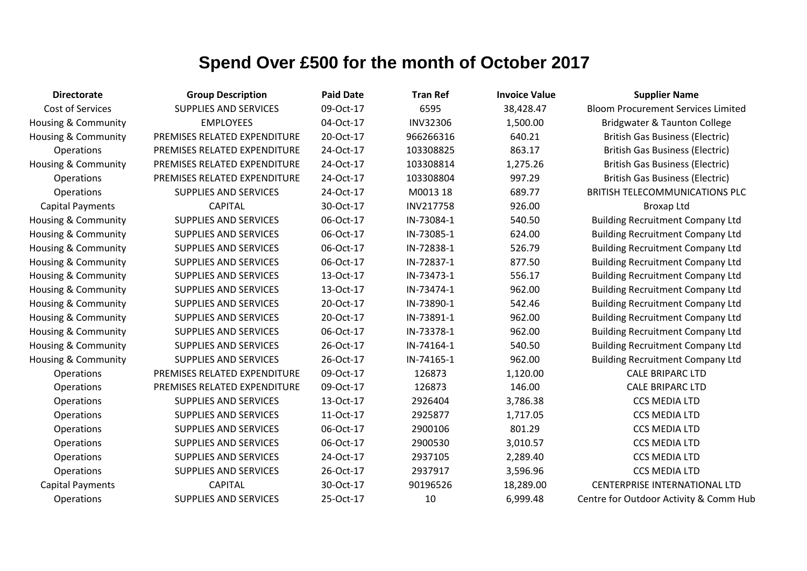| <b>Directorate</b>             | <b>Group Description</b>     | <b>Paid Date</b> | <b>Tran Ref</b> | <b>Invoice Value</b> | <b>Supplier Name</b>                      |
|--------------------------------|------------------------------|------------------|-----------------|----------------------|-------------------------------------------|
| <b>Cost of Services</b>        | <b>SUPPLIES AND SERVICES</b> | 09-Oct-17        | 6595            | 38,428.47            | <b>Bloom Procurement Services Limited</b> |
| <b>Housing &amp; Community</b> | <b>EMPLOYEES</b>             | 04-Oct-17        | <b>INV32306</b> | 1,500.00             | <b>Bridgwater &amp; Taunton College</b>   |
| Housing & Community            | PREMISES RELATED EXPENDITURE | 20-Oct-17        | 966266316       | 640.21               | <b>British Gas Business (Electric)</b>    |
| Operations                     | PREMISES RELATED EXPENDITURE | 24-Oct-17        | 103308825       | 863.17               | <b>British Gas Business (Electric)</b>    |
| <b>Housing &amp; Community</b> | PREMISES RELATED EXPENDITURE | 24-Oct-17        | 103308814       | 1,275.26             | <b>British Gas Business (Electric)</b>    |
| Operations                     | PREMISES RELATED EXPENDITURE | 24-Oct-17        | 103308804       | 997.29               | <b>British Gas Business (Electric)</b>    |
| Operations                     | <b>SUPPLIES AND SERVICES</b> | 24-Oct-17        | M0013 18        | 689.77               | BRITISH TELECOMMUNICATIONS PLC            |
| <b>Capital Payments</b>        | <b>CAPITAL</b>               | 30-Oct-17        | INV217758       | 926.00               | <b>Broxap Ltd</b>                         |
| Housing & Community            | <b>SUPPLIES AND SERVICES</b> | 06-Oct-17        | IN-73084-1      | 540.50               | <b>Building Recruitment Company Ltd</b>   |
| <b>Housing &amp; Community</b> | <b>SUPPLIES AND SERVICES</b> | 06-Oct-17        | IN-73085-1      | 624.00               | <b>Building Recruitment Company Ltd</b>   |
| Housing & Community            | <b>SUPPLIES AND SERVICES</b> | 06-Oct-17        | IN-72838-1      | 526.79               | <b>Building Recruitment Company Ltd</b>   |
| Housing & Community            | <b>SUPPLIES AND SERVICES</b> | 06-Oct-17        | IN-72837-1      | 877.50               | <b>Building Recruitment Company Ltd</b>   |
| Housing & Community            | <b>SUPPLIES AND SERVICES</b> | 13-Oct-17        | IN-73473-1      | 556.17               | <b>Building Recruitment Company Ltd</b>   |
| <b>Housing &amp; Community</b> | <b>SUPPLIES AND SERVICES</b> | 13-Oct-17        | IN-73474-1      | 962.00               | <b>Building Recruitment Company Ltd</b>   |
| Housing & Community            | <b>SUPPLIES AND SERVICES</b> | 20-Oct-17        | IN-73890-1      | 542.46               | <b>Building Recruitment Company Ltd</b>   |
| Housing & Community            | <b>SUPPLIES AND SERVICES</b> | 20-Oct-17        | IN-73891-1      | 962.00               | <b>Building Recruitment Company Ltd</b>   |
| Housing & Community            | <b>SUPPLIES AND SERVICES</b> | 06-Oct-17        | IN-73378-1      | 962.00               | <b>Building Recruitment Company Ltd</b>   |
| Housing & Community            | <b>SUPPLIES AND SERVICES</b> | 26-Oct-17        | IN-74164-1      | 540.50               | <b>Building Recruitment Company Ltd</b>   |
| <b>Housing &amp; Community</b> | <b>SUPPLIES AND SERVICES</b> | 26-Oct-17        | IN-74165-1      | 962.00               | <b>Building Recruitment Company Ltd</b>   |
| Operations                     | PREMISES RELATED EXPENDITURE | 09-Oct-17        | 126873          | 1,120.00             | <b>CALE BRIPARC LTD</b>                   |
| Operations                     | PREMISES RELATED EXPENDITURE | 09-Oct-17        | 126873          | 146.00               | <b>CALE BRIPARC LTD</b>                   |
| Operations                     | <b>SUPPLIES AND SERVICES</b> | 13-Oct-17        | 2926404         | 3,786.38             | <b>CCS MEDIA LTD</b>                      |
| Operations                     | <b>SUPPLIES AND SERVICES</b> | 11-Oct-17        | 2925877         | 1,717.05             | <b>CCS MEDIA LTD</b>                      |
| Operations                     | <b>SUPPLIES AND SERVICES</b> | 06-Oct-17        | 2900106         | 801.29               | <b>CCS MEDIA LTD</b>                      |
| Operations                     | <b>SUPPLIES AND SERVICES</b> | 06-Oct-17        | 2900530         | 3,010.57             | <b>CCS MEDIA LTD</b>                      |
| Operations                     | <b>SUPPLIES AND SERVICES</b> | 24-Oct-17        | 2937105         | 2,289.40             | <b>CCS MEDIA LTD</b>                      |
| Operations                     | <b>SUPPLIES AND SERVICES</b> | 26-Oct-17        | 2937917         | 3,596.96             | <b>CCS MEDIA LTD</b>                      |
| <b>Capital Payments</b>        | <b>CAPITAL</b>               | 30-Oct-17        | 90196526        | 18,289.00            | <b>CENTERPRISE INTERNATIONAL LTD</b>      |
| Operations                     | <b>SUPPLIES AND SERVICES</b> | 25-Oct-17        | 10              | 6,999.48             | Centre for Outdoor Activity & Comm Hub    |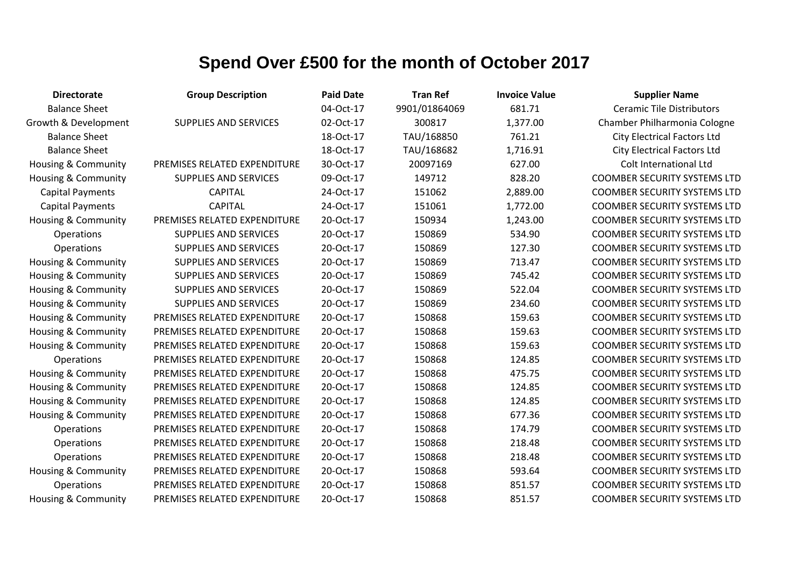| <b>Directorate</b>             | <b>Group Description</b>     | <b>Paid Date</b> | <b>Tran Ref</b> | <b>Invoice Value</b> | <b>Supplier Name</b>                |
|--------------------------------|------------------------------|------------------|-----------------|----------------------|-------------------------------------|
| <b>Balance Sheet</b>           |                              | 04-Oct-17        | 9901/01864069   | 681.71               | <b>Ceramic Tile Distributors</b>    |
| Growth & Development           | <b>SUPPLIES AND SERVICES</b> | 02-Oct-17        | 300817          | 1,377.00             | Chamber Philharmonia Cologne        |
| <b>Balance Sheet</b>           |                              | 18-Oct-17        | TAU/168850      | 761.21               | <b>City Electrical Factors Ltd</b>  |
| <b>Balance Sheet</b>           |                              | 18-Oct-17        | TAU/168682      | 1,716.91             | <b>City Electrical Factors Ltd</b>  |
| Housing & Community            | PREMISES RELATED EXPENDITURE | 30-Oct-17        | 20097169        | 627.00               | Colt International Ltd              |
| Housing & Community            | <b>SUPPLIES AND SERVICES</b> | 09-Oct-17        | 149712          | 828.20               | <b>COOMBER SECURITY SYSTEMS LTD</b> |
| <b>Capital Payments</b>        | <b>CAPITAL</b>               | 24-Oct-17        | 151062          | 2,889.00             | <b>COOMBER SECURITY SYSTEMS LTD</b> |
| <b>Capital Payments</b>        | <b>CAPITAL</b>               | 24-Oct-17        | 151061          | 1,772.00             | <b>COOMBER SECURITY SYSTEMS LTD</b> |
| Housing & Community            | PREMISES RELATED EXPENDITURE | 20-Oct-17        | 150934          | 1,243.00             | <b>COOMBER SECURITY SYSTEMS LTD</b> |
| Operations                     | <b>SUPPLIES AND SERVICES</b> | 20-Oct-17        | 150869          | 534.90               | <b>COOMBER SECURITY SYSTEMS LTD</b> |
| Operations                     | <b>SUPPLIES AND SERVICES</b> | 20-Oct-17        | 150869          | 127.30               | <b>COOMBER SECURITY SYSTEMS LTD</b> |
| <b>Housing &amp; Community</b> | <b>SUPPLIES AND SERVICES</b> | 20-Oct-17        | 150869          | 713.47               | <b>COOMBER SECURITY SYSTEMS LTD</b> |
| <b>Housing &amp; Community</b> | <b>SUPPLIES AND SERVICES</b> | 20-Oct-17        | 150869          | 745.42               | <b>COOMBER SECURITY SYSTEMS LTD</b> |
| <b>Housing &amp; Community</b> | <b>SUPPLIES AND SERVICES</b> | 20-Oct-17        | 150869          | 522.04               | <b>COOMBER SECURITY SYSTEMS LTD</b> |
| Housing & Community            | <b>SUPPLIES AND SERVICES</b> | 20-Oct-17        | 150869          | 234.60               | <b>COOMBER SECURITY SYSTEMS LTD</b> |
| <b>Housing &amp; Community</b> | PREMISES RELATED EXPENDITURE | 20-Oct-17        | 150868          | 159.63               | <b>COOMBER SECURITY SYSTEMS LTD</b> |
| <b>Housing &amp; Community</b> | PREMISES RELATED EXPENDITURE | 20-Oct-17        | 150868          | 159.63               | <b>COOMBER SECURITY SYSTEMS LTD</b> |
| <b>Housing &amp; Community</b> | PREMISES RELATED EXPENDITURE | 20-Oct-17        | 150868          | 159.63               | <b>COOMBER SECURITY SYSTEMS LTD</b> |
| Operations                     | PREMISES RELATED EXPENDITURE | 20-Oct-17        | 150868          | 124.85               | <b>COOMBER SECURITY SYSTEMS LTD</b> |
| <b>Housing &amp; Community</b> | PREMISES RELATED EXPENDITURE | 20-Oct-17        | 150868          | 475.75               | <b>COOMBER SECURITY SYSTEMS LTD</b> |
| Housing & Community            | PREMISES RELATED EXPENDITURE | 20-Oct-17        | 150868          | 124.85               | <b>COOMBER SECURITY SYSTEMS LTD</b> |
| <b>Housing &amp; Community</b> | PREMISES RELATED EXPENDITURE | 20-Oct-17        | 150868          | 124.85               | <b>COOMBER SECURITY SYSTEMS LTD</b> |
| <b>Housing &amp; Community</b> | PREMISES RELATED EXPENDITURE | 20-Oct-17        | 150868          | 677.36               | <b>COOMBER SECURITY SYSTEMS LTD</b> |
| Operations                     | PREMISES RELATED EXPENDITURE | 20-Oct-17        | 150868          | 174.79               | <b>COOMBER SECURITY SYSTEMS LTD</b> |
| Operations                     | PREMISES RELATED EXPENDITURE | 20-Oct-17        | 150868          | 218.48               | <b>COOMBER SECURITY SYSTEMS LTD</b> |
| Operations                     | PREMISES RELATED EXPENDITURE | 20-Oct-17        | 150868          | 218.48               | <b>COOMBER SECURITY SYSTEMS LTD</b> |
| <b>Housing &amp; Community</b> | PREMISES RELATED EXPENDITURE | 20-Oct-17        | 150868          | 593.64               | <b>COOMBER SECURITY SYSTEMS LTD</b> |
| Operations                     | PREMISES RELATED EXPENDITURE | 20-Oct-17        | 150868          | 851.57               | <b>COOMBER SECURITY SYSTEMS LTD</b> |
| <b>Housing &amp; Community</b> | PREMISES RELATED EXPENDITURE | 20-Oct-17        | 150868          | 851.57               | <b>COOMBER SECURITY SYSTEMS LTD</b> |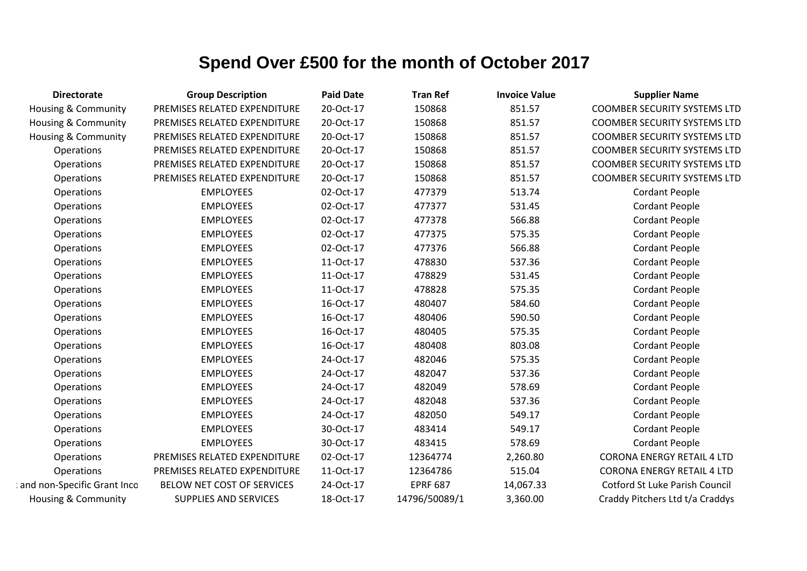| <b>Directorate</b>             | <b>Group Description</b>     | <b>Paid Date</b> | <b>Tran Ref</b> | <b>Invoice Value</b> | <b>Supplier Name</b>                  |
|--------------------------------|------------------------------|------------------|-----------------|----------------------|---------------------------------------|
| <b>Housing &amp; Community</b> | PREMISES RELATED EXPENDITURE | 20-Oct-17        | 150868          | 851.57               | <b>COOMBER SECURITY SYSTEMS LTD</b>   |
| Housing & Community            | PREMISES RELATED EXPENDITURE | 20-Oct-17        | 150868          | 851.57               | <b>COOMBER SECURITY SYSTEMS LTD</b>   |
| Housing & Community            | PREMISES RELATED EXPENDITURE | 20-Oct-17        | 150868          | 851.57               | <b>COOMBER SECURITY SYSTEMS LTD</b>   |
| Operations                     | PREMISES RELATED EXPENDITURE | 20-Oct-17        | 150868          | 851.57               | <b>COOMBER SECURITY SYSTEMS LTD</b>   |
| Operations                     | PREMISES RELATED EXPENDITURE | 20-Oct-17        | 150868          | 851.57               | <b>COOMBER SECURITY SYSTEMS LTD</b>   |
| Operations                     | PREMISES RELATED EXPENDITURE | 20-Oct-17        | 150868          | 851.57               | <b>COOMBER SECURITY SYSTEMS LTD</b>   |
| Operations                     | <b>EMPLOYEES</b>             | 02-Oct-17        | 477379          | 513.74               | <b>Cordant People</b>                 |
| Operations                     | <b>EMPLOYEES</b>             | 02-Oct-17        | 477377          | 531.45               | <b>Cordant People</b>                 |
| Operations                     | <b>EMPLOYEES</b>             | 02-Oct-17        | 477378          | 566.88               | <b>Cordant People</b>                 |
| Operations                     | <b>EMPLOYEES</b>             | 02-Oct-17        | 477375          | 575.35               | <b>Cordant People</b>                 |
| Operations                     | <b>EMPLOYEES</b>             | 02-Oct-17        | 477376          | 566.88               | <b>Cordant People</b>                 |
| Operations                     | <b>EMPLOYEES</b>             | 11-Oct-17        | 478830          | 537.36               | <b>Cordant People</b>                 |
| Operations                     | <b>EMPLOYEES</b>             | 11-Oct-17        | 478829          | 531.45               | <b>Cordant People</b>                 |
| Operations                     | <b>EMPLOYEES</b>             | 11-Oct-17        | 478828          | 575.35               | <b>Cordant People</b>                 |
| Operations                     | <b>EMPLOYEES</b>             | 16-Oct-17        | 480407          | 584.60               | <b>Cordant People</b>                 |
| Operations                     | <b>EMPLOYEES</b>             | 16-Oct-17        | 480406          | 590.50               | <b>Cordant People</b>                 |
| Operations                     | <b>EMPLOYEES</b>             | 16-Oct-17        | 480405          | 575.35               | <b>Cordant People</b>                 |
| Operations                     | <b>EMPLOYEES</b>             | 16-Oct-17        | 480408          | 803.08               | <b>Cordant People</b>                 |
| Operations                     | <b>EMPLOYEES</b>             | 24-Oct-17        | 482046          | 575.35               | <b>Cordant People</b>                 |
| Operations                     | <b>EMPLOYEES</b>             | 24-Oct-17        | 482047          | 537.36               | <b>Cordant People</b>                 |
| Operations                     | <b>EMPLOYEES</b>             | 24-Oct-17        | 482049          | 578.69               | <b>Cordant People</b>                 |
| Operations                     | <b>EMPLOYEES</b>             | 24-Oct-17        | 482048          | 537.36               | <b>Cordant People</b>                 |
| Operations                     | <b>EMPLOYEES</b>             | 24-Oct-17        | 482050          | 549.17               | <b>Cordant People</b>                 |
| Operations                     | <b>EMPLOYEES</b>             | 30-Oct-17        | 483414          | 549.17               | <b>Cordant People</b>                 |
| Operations                     | <b>EMPLOYEES</b>             | 30-Oct-17        | 483415          | 578.69               | <b>Cordant People</b>                 |
| Operations                     | PREMISES RELATED EXPENDITURE | 02-Oct-17        | 12364774        | 2,260.80             | <b>CORONA ENERGY RETAIL 4 LTD</b>     |
| Operations                     | PREMISES RELATED EXPENDITURE | 11-Oct-17        | 12364786        | 515.04               | <b>CORONA ENERGY RETAIL 4 LTD</b>     |
| and non-Specific Grant Inco    | BELOW NET COST OF SERVICES   | 24-Oct-17        | <b>EPRF 687</b> | 14,067.33            | <b>Cotford St Luke Parish Council</b> |
| Housing & Community            | <b>SUPPLIES AND SERVICES</b> | 18-Oct-17        | 14796/50089/1   | 3,360.00             | Craddy Pitchers Ltd t/a Craddys       |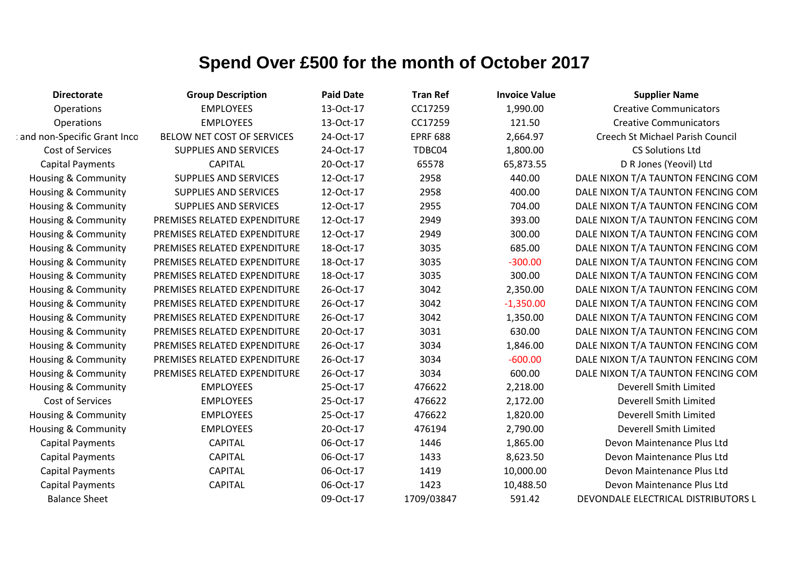| <b>Directorate</b>             | <b>Group Description</b>     | <b>Paid Date</b> | <b>Tran Ref</b> | <b>Invoice Value</b> | <b>Supplier Name</b>                |
|--------------------------------|------------------------------|------------------|-----------------|----------------------|-------------------------------------|
| Operations                     | <b>EMPLOYEES</b>             | 13-Oct-17        | CC17259         | 1,990.00             | <b>Creative Communicators</b>       |
| Operations                     | <b>EMPLOYEES</b>             | 13-Oct-17        | CC17259         | 121.50               | <b>Creative Communicators</b>       |
| and non-Specific Grant Inco    | BELOW NET COST OF SERVICES   | 24-Oct-17        | <b>EPRF 688</b> | 2,664.97             | Creech St Michael Parish Council    |
| Cost of Services               | <b>SUPPLIES AND SERVICES</b> | 24-Oct-17        | TDBC04          | 1,800.00             | <b>CS Solutions Ltd</b>             |
| <b>Capital Payments</b>        | <b>CAPITAL</b>               | 20-Oct-17        | 65578           | 65,873.55            | D R Jones (Yeovil) Ltd              |
| Housing & Community            | <b>SUPPLIES AND SERVICES</b> | 12-Oct-17        | 2958            | 440.00               | DALE NIXON T/A TAUNTON FENCING COM  |
| Housing & Community            | <b>SUPPLIES AND SERVICES</b> | 12-Oct-17        | 2958            | 400.00               | DALE NIXON T/A TAUNTON FENCING COM  |
| Housing & Community            | <b>SUPPLIES AND SERVICES</b> | 12-Oct-17        | 2955            | 704.00               | DALE NIXON T/A TAUNTON FENCING COM  |
| Housing & Community            | PREMISES RELATED EXPENDITURE | 12-Oct-17        | 2949            | 393.00               | DALE NIXON T/A TAUNTON FENCING COM  |
| <b>Housing &amp; Community</b> | PREMISES RELATED EXPENDITURE | 12-Oct-17        | 2949            | 300.00               | DALE NIXON T/A TAUNTON FENCING COM  |
| Housing & Community            | PREMISES RELATED EXPENDITURE | 18-Oct-17        | 3035            | 685.00               | DALE NIXON T/A TAUNTON FENCING COM  |
| Housing & Community            | PREMISES RELATED EXPENDITURE | 18-Oct-17        | 3035            | $-300.00$            | DALE NIXON T/A TAUNTON FENCING COM  |
| Housing & Community            | PREMISES RELATED EXPENDITURE | 18-Oct-17        | 3035            | 300.00               | DALE NIXON T/A TAUNTON FENCING COM  |
| <b>Housing &amp; Community</b> | PREMISES RELATED EXPENDITURE | 26-Oct-17        | 3042            | 2,350.00             | DALE NIXON T/A TAUNTON FENCING COM  |
| Housing & Community            | PREMISES RELATED EXPENDITURE | 26-Oct-17        | 3042            | $-1,350.00$          | DALE NIXON T/A TAUNTON FENCING COM  |
| Housing & Community            | PREMISES RELATED EXPENDITURE | 26-Oct-17        | 3042            | 1,350.00             | DALE NIXON T/A TAUNTON FENCING COM  |
| Housing & Community            | PREMISES RELATED EXPENDITURE | 20-Oct-17        | 3031            | 630.00               | DALE NIXON T/A TAUNTON FENCING COM  |
| <b>Housing &amp; Community</b> | PREMISES RELATED EXPENDITURE | 26-Oct-17        | 3034            | 1,846.00             | DALE NIXON T/A TAUNTON FENCING COM  |
| Housing & Community            | PREMISES RELATED EXPENDITURE | 26-Oct-17        | 3034            | $-600.00$            | DALE NIXON T/A TAUNTON FENCING COM  |
| Housing & Community            | PREMISES RELATED EXPENDITURE | 26-Oct-17        | 3034            | 600.00               | DALE NIXON T/A TAUNTON FENCING COM  |
| Housing & Community            | <b>EMPLOYEES</b>             | 25-Oct-17        | 476622          | 2,218.00             | Deverell Smith Limited              |
| Cost of Services               | <b>EMPLOYEES</b>             | 25-Oct-17        | 476622          | 2,172.00             | Deverell Smith Limited              |
| Housing & Community            | <b>EMPLOYEES</b>             | 25-Oct-17        | 476622          | 1,820.00             | Deverell Smith Limited              |
| Housing & Community            | <b>EMPLOYEES</b>             | 20-Oct-17        | 476194          | 2,790.00             | Deverell Smith Limited              |
| <b>Capital Payments</b>        | <b>CAPITAL</b>               | 06-Oct-17        | 1446            | 1,865.00             | Devon Maintenance Plus Ltd          |
| <b>Capital Payments</b>        | <b>CAPITAL</b>               | 06-Oct-17        | 1433            | 8,623.50             | Devon Maintenance Plus Ltd          |
| <b>Capital Payments</b>        | <b>CAPITAL</b>               | 06-Oct-17        | 1419            | 10,000.00            | Devon Maintenance Plus Ltd          |
| <b>Capital Payments</b>        | CAPITAL                      | 06-Oct-17        | 1423            | 10,488.50            | Devon Maintenance Plus Ltd          |
| <b>Balance Sheet</b>           |                              | 09-Oct-17        | 1709/03847      | 591.42               | DEVONDALE ELECTRICAL DISTRIBUTORS L |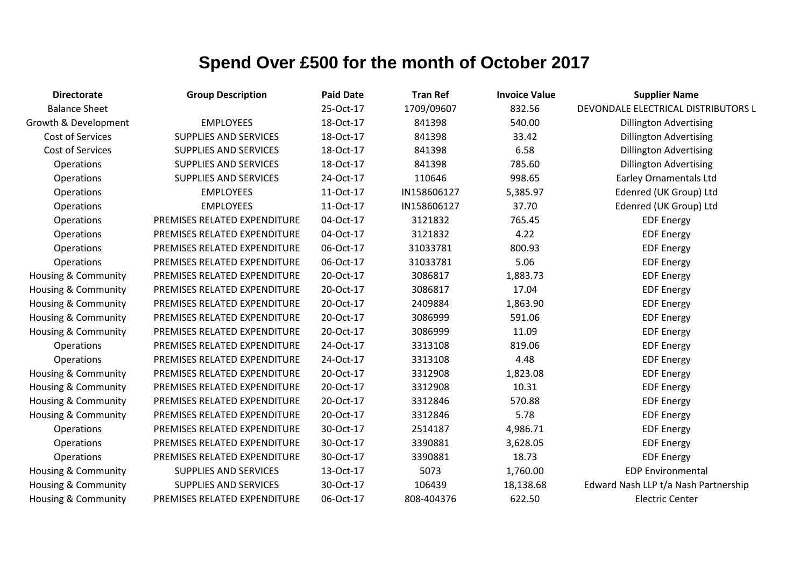| <b>Directorate</b>             | <b>Group Description</b>     | <b>Paid Date</b> | <b>Tran Ref</b> | <b>Invoice Value</b> | <b>Supplier Name</b>                 |
|--------------------------------|------------------------------|------------------|-----------------|----------------------|--------------------------------------|
| <b>Balance Sheet</b>           |                              | 25-Oct-17        | 1709/09607      | 832.56               | DEVONDALE ELECTRICAL DISTRIBUTORS L  |
| Growth & Development           | <b>EMPLOYEES</b>             | 18-Oct-17        | 841398          | 540.00               | <b>Dillington Advertising</b>        |
| Cost of Services               | <b>SUPPLIES AND SERVICES</b> | 18-Oct-17        | 841398          | 33.42                | <b>Dillington Advertising</b>        |
| Cost of Services               | <b>SUPPLIES AND SERVICES</b> | 18-Oct-17        | 841398          | 6.58                 | <b>Dillington Advertising</b>        |
| Operations                     | <b>SUPPLIES AND SERVICES</b> | 18-Oct-17        | 841398          | 785.60               | <b>Dillington Advertising</b>        |
| Operations                     | <b>SUPPLIES AND SERVICES</b> | 24-Oct-17        | 110646          | 998.65               | <b>Earley Ornamentals Ltd</b>        |
| Operations                     | <b>EMPLOYEES</b>             | 11-Oct-17        | IN158606127     | 5,385.97             | Edenred (UK Group) Ltd               |
| Operations                     | <b>EMPLOYEES</b>             | 11-Oct-17        | IN158606127     | 37.70                | Edenred (UK Group) Ltd               |
| Operations                     | PREMISES RELATED EXPENDITURE | 04-Oct-17        | 3121832         | 765.45               | <b>EDF Energy</b>                    |
| Operations                     | PREMISES RELATED EXPENDITURE | 04-Oct-17        | 3121832         | 4.22                 | <b>EDF Energy</b>                    |
| Operations                     | PREMISES RELATED EXPENDITURE | 06-Oct-17        | 31033781        | 800.93               | <b>EDF Energy</b>                    |
| Operations                     | PREMISES RELATED EXPENDITURE | 06-Oct-17        | 31033781        | 5.06                 | <b>EDF Energy</b>                    |
| <b>Housing &amp; Community</b> | PREMISES RELATED EXPENDITURE | 20-Oct-17        | 3086817         | 1,883.73             | <b>EDF Energy</b>                    |
| <b>Housing &amp; Community</b> | PREMISES RELATED EXPENDITURE | 20-Oct-17        | 3086817         | 17.04                | <b>EDF Energy</b>                    |
| Housing & Community            | PREMISES RELATED EXPENDITURE | 20-Oct-17        | 2409884         | 1,863.90             | <b>EDF Energy</b>                    |
| <b>Housing &amp; Community</b> | PREMISES RELATED EXPENDITURE | 20-Oct-17        | 3086999         | 591.06               | <b>EDF Energy</b>                    |
| <b>Housing &amp; Community</b> | PREMISES RELATED EXPENDITURE | 20-Oct-17        | 3086999         | 11.09                | <b>EDF Energy</b>                    |
| <b>Operations</b>              | PREMISES RELATED EXPENDITURE | 24-Oct-17        | 3313108         | 819.06               | <b>EDF Energy</b>                    |
| Operations                     | PREMISES RELATED EXPENDITURE | 24-Oct-17        | 3313108         | 4.48                 | <b>EDF Energy</b>                    |
| <b>Housing &amp; Community</b> | PREMISES RELATED EXPENDITURE | 20-Oct-17        | 3312908         | 1,823.08             | <b>EDF Energy</b>                    |
| Housing & Community            | PREMISES RELATED EXPENDITURE | 20-Oct-17        | 3312908         | 10.31                | <b>EDF Energy</b>                    |
| <b>Housing &amp; Community</b> | PREMISES RELATED EXPENDITURE | 20-Oct-17        | 3312846         | 570.88               | <b>EDF Energy</b>                    |
| Housing & Community            | PREMISES RELATED EXPENDITURE | 20-Oct-17        | 3312846         | 5.78                 | <b>EDF Energy</b>                    |
| Operations                     | PREMISES RELATED EXPENDITURE | 30-Oct-17        | 2514187         | 4,986.71             | <b>EDF Energy</b>                    |
| Operations                     | PREMISES RELATED EXPENDITURE | 30-Oct-17        | 3390881         | 3,628.05             | <b>EDF Energy</b>                    |
| Operations                     | PREMISES RELATED EXPENDITURE | 30-Oct-17        | 3390881         | 18.73                | <b>EDF Energy</b>                    |
| Housing & Community            | <b>SUPPLIES AND SERVICES</b> | 13-Oct-17        | 5073            | 1,760.00             | <b>EDP Environmental</b>             |
| Housing & Community            | <b>SUPPLIES AND SERVICES</b> | 30-Oct-17        | 106439          | 18,138.68            | Edward Nash LLP t/a Nash Partnership |
| <b>Housing &amp; Community</b> | PREMISES RELATED EXPENDITURE | 06-Oct-17        | 808-404376      | 622.50               | <b>Electric Center</b>               |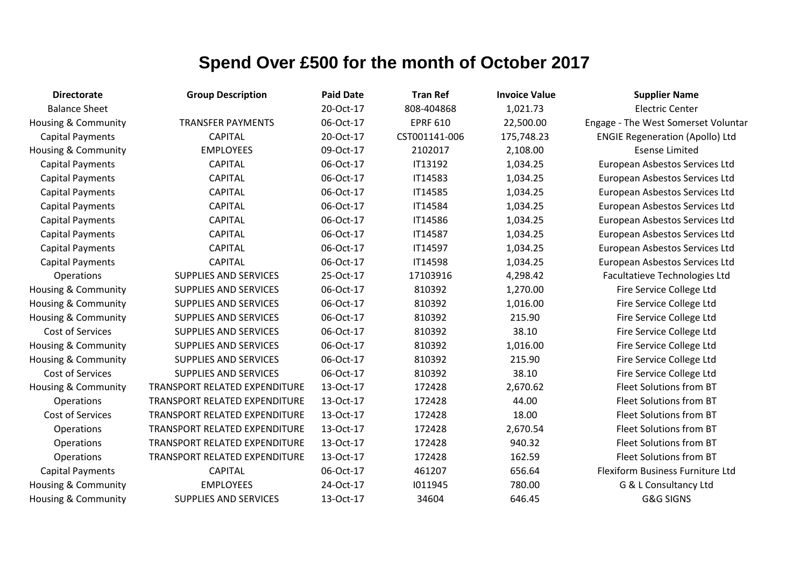| <b>Directorate</b>             | <b>Group Description</b>      | <b>Paid Date</b> | <b>Tran Ref</b> | <b>Invoice Value</b> | <b>Supplier Name</b>                   |
|--------------------------------|-------------------------------|------------------|-----------------|----------------------|----------------------------------------|
| <b>Balance Sheet</b>           |                               | 20-Oct-17        | 808-404868      | 1,021.73             | <b>Electric Center</b>                 |
| Housing & Community            | <b>TRANSFER PAYMENTS</b>      | 06-Oct-17        | <b>EPRF 610</b> | 22,500.00            | Engage - The West Somerset Voluntar    |
| <b>Capital Payments</b>        | <b>CAPITAL</b>                | 20-Oct-17        | CST001141-006   | 175,748.23           | <b>ENGIE Regeneration (Apollo) Ltd</b> |
| <b>Housing &amp; Community</b> | <b>EMPLOYEES</b>              | 09-Oct-17        | 2102017         | 2,108.00             | <b>Esense Limited</b>                  |
| <b>Capital Payments</b>        | <b>CAPITAL</b>                | 06-Oct-17        | IT13192         | 1,034.25             | European Asbestos Services Ltd         |
| <b>Capital Payments</b>        | <b>CAPITAL</b>                | 06-Oct-17        | IT14583         | 1,034.25             | European Asbestos Services Ltd         |
| <b>Capital Payments</b>        | <b>CAPITAL</b>                | 06-Oct-17        | IT14585         | 1,034.25             | European Asbestos Services Ltd         |
| <b>Capital Payments</b>        | <b>CAPITAL</b>                | 06-Oct-17        | IT14584         | 1,034.25             | European Asbestos Services Ltd         |
| <b>Capital Payments</b>        | <b>CAPITAL</b>                | 06-Oct-17        | IT14586         | 1,034.25             | European Asbestos Services Ltd         |
| <b>Capital Payments</b>        | <b>CAPITAL</b>                | 06-Oct-17        | IT14587         | 1,034.25             | European Asbestos Services Ltd         |
| <b>Capital Payments</b>        | <b>CAPITAL</b>                | 06-Oct-17        | IT14597         | 1,034.25             | European Asbestos Services Ltd         |
| <b>Capital Payments</b>        | <b>CAPITAL</b>                | 06-Oct-17        | IT14598         | 1,034.25             | European Asbestos Services Ltd         |
| Operations                     | <b>SUPPLIES AND SERVICES</b>  | 25-Oct-17        | 17103916        | 4,298.42             | Facultatieve Technologies Ltd          |
| <b>Housing &amp; Community</b> | <b>SUPPLIES AND SERVICES</b>  | 06-Oct-17        | 810392          | 1,270.00             | Fire Service College Ltd               |
| <b>Housing &amp; Community</b> | <b>SUPPLIES AND SERVICES</b>  | 06-Oct-17        | 810392          | 1,016.00             | Fire Service College Ltd               |
| <b>Housing &amp; Community</b> | <b>SUPPLIES AND SERVICES</b>  | 06-Oct-17        | 810392          | 215.90               | Fire Service College Ltd               |
| Cost of Services               | <b>SUPPLIES AND SERVICES</b>  | 06-Oct-17        | 810392          | 38.10                | Fire Service College Ltd               |
| <b>Housing &amp; Community</b> | <b>SUPPLIES AND SERVICES</b>  | 06-Oct-17        | 810392          | 1,016.00             | Fire Service College Ltd               |
| <b>Housing &amp; Community</b> | <b>SUPPLIES AND SERVICES</b>  | 06-Oct-17        | 810392          | 215.90               | Fire Service College Ltd               |
| Cost of Services               | <b>SUPPLIES AND SERVICES</b>  | 06-Oct-17        | 810392          | 38.10                | Fire Service College Ltd               |
| <b>Housing &amp; Community</b> | TRANSPORT RELATED EXPENDITURE | 13-Oct-17        | 172428          | 2,670.62             | Fleet Solutions from BT                |
| Operations                     | TRANSPORT RELATED EXPENDITURE | 13-Oct-17        | 172428          | 44.00                | <b>Fleet Solutions from BT</b>         |
| Cost of Services               | TRANSPORT RELATED EXPENDITURE | 13-Oct-17        | 172428          | 18.00                | Fleet Solutions from BT                |
| Operations                     | TRANSPORT RELATED EXPENDITURE | 13-Oct-17        | 172428          | 2,670.54             | Fleet Solutions from BT                |
| Operations                     | TRANSPORT RELATED EXPENDITURE | 13-Oct-17        | 172428          | 940.32               | <b>Fleet Solutions from BT</b>         |
| Operations                     | TRANSPORT RELATED EXPENDITURE | 13-Oct-17        | 172428          | 162.59               | Fleet Solutions from BT                |
| <b>Capital Payments</b>        | <b>CAPITAL</b>                | 06-Oct-17        | 461207          | 656.64               | Flexiform Business Furniture Ltd       |
| <b>Housing &amp; Community</b> | <b>EMPLOYEES</b>              | 24-Oct-17        | 1011945         | 780.00               | G & L Consultancy Ltd                  |
| Housing & Community            | <b>SUPPLIES AND SERVICES</b>  | 13-Oct-17        | 34604           | 646.45               | <b>G&amp;G SIGNS</b>                   |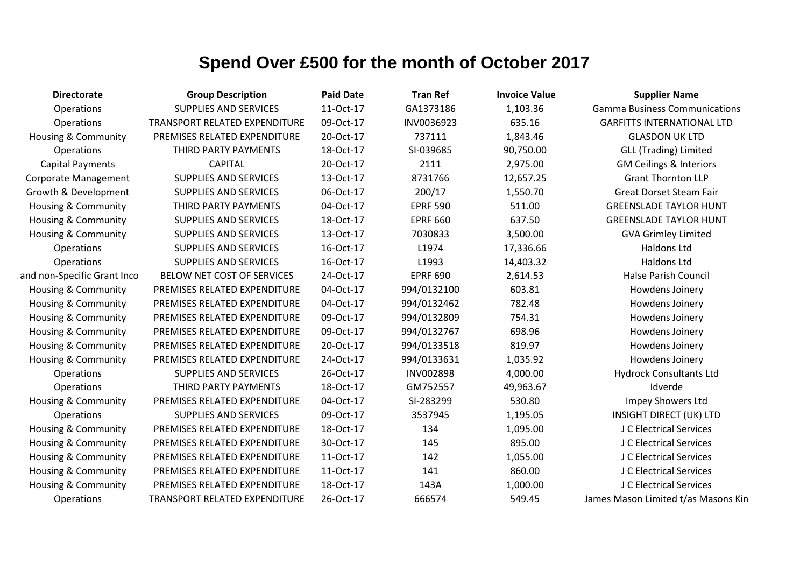| <b>Directorate</b>             | <b>Group Description</b>      | <b>Paid Date</b> | <b>Tran Ref</b>  | <b>Invoice Value</b> | <b>Supplier Name</b>                 |
|--------------------------------|-------------------------------|------------------|------------------|----------------------|--------------------------------------|
| Operations                     | <b>SUPPLIES AND SERVICES</b>  | 11-Oct-17        | GA1373186        | 1,103.36             | <b>Gamma Business Communications</b> |
| Operations                     | TRANSPORT RELATED EXPENDITURE | 09-Oct-17        | INV0036923       | 635.16               | <b>GARFITTS INTERNATIONAL LTD</b>    |
| Housing & Community            | PREMISES RELATED EXPENDITURE  | 20-Oct-17        | 737111           | 1,843.46             | <b>GLASDON UK LTD</b>                |
| Operations                     | THIRD PARTY PAYMENTS          | 18-Oct-17        | SI-039685        | 90,750.00            | <b>GLL (Trading) Limited</b>         |
| <b>Capital Payments</b>        | <b>CAPITAL</b>                | 20-Oct-17        | 2111             | 2,975.00             | <b>GM Ceilings &amp; Interiors</b>   |
| <b>Corporate Management</b>    | <b>SUPPLIES AND SERVICES</b>  | 13-Oct-17        | 8731766          | 12,657.25            | <b>Grant Thornton LLP</b>            |
| Growth & Development           | <b>SUPPLIES AND SERVICES</b>  | 06-Oct-17        | 200/17           | 1,550.70             | <b>Great Dorset Steam Fair</b>       |
| <b>Housing &amp; Community</b> | THIRD PARTY PAYMENTS          | 04-Oct-17        | <b>EPRF 590</b>  | 511.00               | <b>GREENSLADE TAYLOR HUNT</b>        |
| <b>Housing &amp; Community</b> | <b>SUPPLIES AND SERVICES</b>  | 18-Oct-17        | <b>EPRF 660</b>  | 637.50               | <b>GREENSLADE TAYLOR HUNT</b>        |
| Housing & Community            | <b>SUPPLIES AND SERVICES</b>  | 13-Oct-17        | 7030833          | 3,500.00             | <b>GVA Grimley Limited</b>           |
| Operations                     | <b>SUPPLIES AND SERVICES</b>  | 16-Oct-17        | L1974            | 17,336.66            | Haldons Ltd                          |
| Operations                     | <b>SUPPLIES AND SERVICES</b>  | 16-Oct-17        | L1993            | 14,403.32            | <b>Haldons Ltd</b>                   |
| and non-Specific Grant Inco    | BELOW NET COST OF SERVICES    | 24-Oct-17        | <b>EPRF 690</b>  | 2,614.53             | <b>Halse Parish Council</b>          |
| <b>Housing &amp; Community</b> | PREMISES RELATED EXPENDITURE  | 04-Oct-17        | 994/0132100      | 603.81               | Howdens Joinery                      |
| Housing & Community            | PREMISES RELATED EXPENDITURE  | 04-Oct-17        | 994/0132462      | 782.48               | Howdens Joinery                      |
| Housing & Community            | PREMISES RELATED EXPENDITURE  | 09-Oct-17        | 994/0132809      | 754.31               | Howdens Joinery                      |
| <b>Housing &amp; Community</b> | PREMISES RELATED EXPENDITURE  | 09-Oct-17        | 994/0132767      | 698.96               | Howdens Joinery                      |
| <b>Housing &amp; Community</b> | PREMISES RELATED EXPENDITURE  | 20-Oct-17        | 994/0133518      | 819.97               | Howdens Joinery                      |
| <b>Housing &amp; Community</b> | PREMISES RELATED EXPENDITURE  | 24-Oct-17        | 994/0133631      | 1,035.92             | Howdens Joinery                      |
| Operations                     | <b>SUPPLIES AND SERVICES</b>  | 26-Oct-17        | <b>INV002898</b> | 4,000.00             | <b>Hydrock Consultants Ltd</b>       |
| Operations                     | THIRD PARTY PAYMENTS          | 18-Oct-17        | GM752557         | 49,963.67            | Idverde                              |
| Housing & Community            | PREMISES RELATED EXPENDITURE  | 04-Oct-17        | SI-283299        | 530.80               | Impey Showers Ltd                    |
| Operations                     | <b>SUPPLIES AND SERVICES</b>  | 09-Oct-17        | 3537945          | 1,195.05             | <b>INSIGHT DIRECT (UK) LTD</b>       |
| Housing & Community            | PREMISES RELATED EXPENDITURE  | 18-Oct-17        | 134              | 1,095.00             | J C Electrical Services              |
| <b>Housing &amp; Community</b> | PREMISES RELATED EXPENDITURE  | 30-Oct-17        | 145              | 895.00               | J C Electrical Services              |
| <b>Housing &amp; Community</b> | PREMISES RELATED EXPENDITURE  | 11-Oct-17        | 142              | 1,055.00             | J C Electrical Services              |
| Housing & Community            | PREMISES RELATED EXPENDITURE  | 11-Oct-17        | 141              | 860.00               | J C Electrical Services              |
| <b>Housing &amp; Community</b> | PREMISES RELATED EXPENDITURE  | 18-Oct-17        | 143A             | 1,000.00             | J C Electrical Services              |
| Operations                     | TRANSPORT RELATED EXPENDITURE | 26-Oct-17        | 666574           | 549.45               | James Mason Limited t/as Masons Kin  |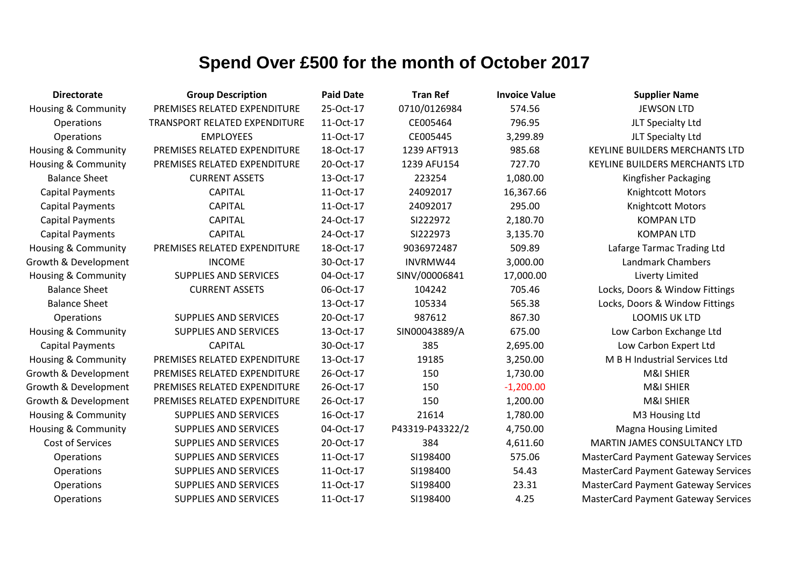| <b>Directorate</b>             | <b>Group Description</b>      | <b>Paid Date</b> | <b>Tran Ref</b> | <b>Invoice Value</b> | <b>Supplier Name</b>                       |
|--------------------------------|-------------------------------|------------------|-----------------|----------------------|--------------------------------------------|
| Housing & Community            | PREMISES RELATED EXPENDITURE  | 25-Oct-17        | 0710/0126984    | 574.56               | <b>JEWSON LTD</b>                          |
| Operations                     | TRANSPORT RELATED EXPENDITURE | 11-Oct-17        | CE005464        | 796.95               | JLT Specialty Ltd                          |
| Operations                     | <b>EMPLOYEES</b>              | 11-Oct-17        | CE005445        | 3,299.89             | JLT Specialty Ltd                          |
| Housing & Community            | PREMISES RELATED EXPENDITURE  | 18-Oct-17        | 1239 AFT913     | 985.68               | <b>KEYLINE BUILDERS MERCHANTS LTD</b>      |
| <b>Housing &amp; Community</b> | PREMISES RELATED EXPENDITURE  | 20-Oct-17        | 1239 AFU154     | 727.70               | <b>KEYLINE BUILDERS MERCHANTS LTD</b>      |
| <b>Balance Sheet</b>           | <b>CURRENT ASSETS</b>         | 13-Oct-17        | 223254          | 1,080.00             | Kingfisher Packaging                       |
| <b>Capital Payments</b>        | <b>CAPITAL</b>                | 11-Oct-17        | 24092017        | 16,367.66            | Knightcott Motors                          |
| <b>Capital Payments</b>        | <b>CAPITAL</b>                | 11-Oct-17        | 24092017        | 295.00               | Knightcott Motors                          |
| <b>Capital Payments</b>        | <b>CAPITAL</b>                | 24-Oct-17        | SI222972        | 2,180.70             | <b>KOMPAN LTD</b>                          |
| <b>Capital Payments</b>        | <b>CAPITAL</b>                | 24-Oct-17        | SI222973        | 3,135.70             | <b>KOMPAN LTD</b>                          |
| <b>Housing &amp; Community</b> | PREMISES RELATED EXPENDITURE  | 18-Oct-17        | 9036972487      | 509.89               | Lafarge Tarmac Trading Ltd                 |
| Growth & Development           | <b>INCOME</b>                 | 30-Oct-17        | INVRMW44        | 3,000.00             | Landmark Chambers                          |
| Housing & Community            | <b>SUPPLIES AND SERVICES</b>  | 04-Oct-17        | SINV/00006841   | 17,000.00            | Liverty Limited                            |
| <b>Balance Sheet</b>           | <b>CURRENT ASSETS</b>         | 06-Oct-17        | 104242          | 705.46               | Locks, Doors & Window Fittings             |
| <b>Balance Sheet</b>           |                               | 13-Oct-17        | 105334          | 565.38               | Locks, Doors & Window Fittings             |
| Operations                     | <b>SUPPLIES AND SERVICES</b>  | 20-Oct-17        | 987612          | 867.30               | <b>LOOMIS UK LTD</b>                       |
| Housing & Community            | <b>SUPPLIES AND SERVICES</b>  | 13-Oct-17        | SIN00043889/A   | 675.00               | Low Carbon Exchange Ltd                    |
| <b>Capital Payments</b>        | <b>CAPITAL</b>                | 30-Oct-17        | 385             | 2,695.00             | Low Carbon Expert Ltd                      |
| Housing & Community            | PREMISES RELATED EXPENDITURE  | 13-Oct-17        | 19185           | 3,250.00             | M B H Industrial Services Ltd              |
| Growth & Development           | PREMISES RELATED EXPENDITURE  | 26-Oct-17        | 150             | 1,730.00             | M&I SHIER                                  |
| Growth & Development           | PREMISES RELATED EXPENDITURE  | 26-Oct-17        | 150             | $-1,200.00$          | M&I SHIER                                  |
| Growth & Development           | PREMISES RELATED EXPENDITURE  | 26-Oct-17        | 150             | 1,200.00             | <b>M&amp;I SHIER</b>                       |
| Housing & Community            | <b>SUPPLIES AND SERVICES</b>  | 16-Oct-17        | 21614           | 1,780.00             | M3 Housing Ltd                             |
| <b>Housing &amp; Community</b> | <b>SUPPLIES AND SERVICES</b>  | 04-Oct-17        | P43319-P43322/2 | 4,750.00             | <b>Magna Housing Limited</b>               |
| <b>Cost of Services</b>        | <b>SUPPLIES AND SERVICES</b>  | 20-Oct-17        | 384             | 4,611.60             | <b>MARTIN JAMES CONSULTANCY LTD</b>        |
| Operations                     | <b>SUPPLIES AND SERVICES</b>  | 11-Oct-17        | SI198400        | 575.06               | <b>MasterCard Payment Gateway Services</b> |
| Operations                     | <b>SUPPLIES AND SERVICES</b>  | 11-Oct-17        | SI198400        | 54.43                | <b>MasterCard Payment Gateway Services</b> |
| Operations                     | <b>SUPPLIES AND SERVICES</b>  | 11-Oct-17        | SI198400        | 23.31                | <b>MasterCard Payment Gateway Services</b> |
| Operations                     | <b>SUPPLIES AND SERVICES</b>  | 11-Oct-17        | SI198400        | 4.25                 | <b>MasterCard Payment Gateway Services</b> |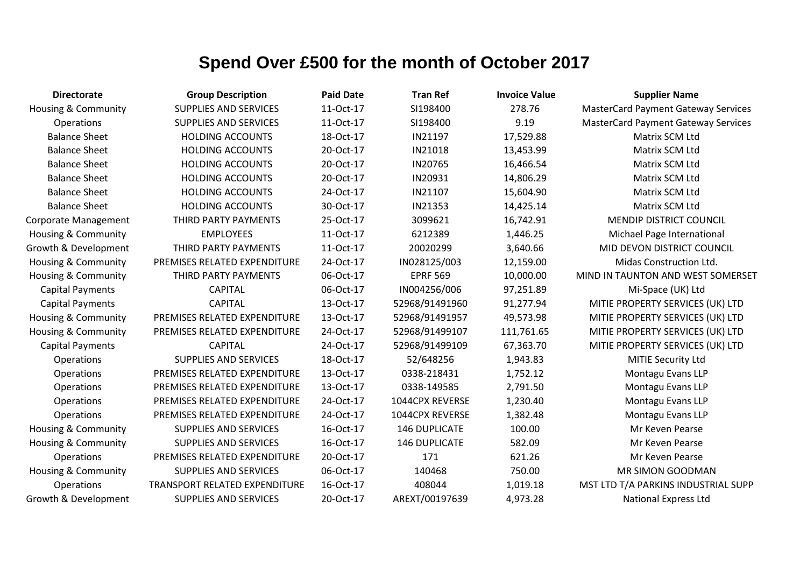| <b>Directorate</b>             | <b>Group Description</b>      | <b>Paid Date</b> | <b>Tran Ref</b>      | <b>Invoice Value</b> | <b>Supplier Name</b>                       |
|--------------------------------|-------------------------------|------------------|----------------------|----------------------|--------------------------------------------|
| <b>Housing &amp; Community</b> | <b>SUPPLIES AND SERVICES</b>  | 11-Oct-17        | SI198400             | 278.76               | <b>MasterCard Payment Gateway Services</b> |
| <b>Operations</b>              | <b>SUPPLIES AND SERVICES</b>  | 11-Oct-17        | SI198400             | 9.19                 | <b>MasterCard Payment Gateway Services</b> |
| <b>Balance Sheet</b>           | <b>HOLDING ACCOUNTS</b>       | 18-Oct-17        | IN21197              | 17,529.88            | Matrix SCM Ltd                             |
| <b>Balance Sheet</b>           | <b>HOLDING ACCOUNTS</b>       | 20-Oct-17        | IN21018              | 13,453.99            | Matrix SCM Ltd                             |
| <b>Balance Sheet</b>           | <b>HOLDING ACCOUNTS</b>       | 20-Oct-17        | IN20765              | 16,466.54            | Matrix SCM Ltd                             |
| <b>Balance Sheet</b>           | <b>HOLDING ACCOUNTS</b>       | 20-Oct-17        | IN20931              | 14,806.29            | Matrix SCM Ltd                             |
| <b>Balance Sheet</b>           | <b>HOLDING ACCOUNTS</b>       | 24-Oct-17        | IN21107              | 15,604.90            | Matrix SCM Ltd                             |
| <b>Balance Sheet</b>           | <b>HOLDING ACCOUNTS</b>       | 30-Oct-17        | IN21353              | 14,425.14            | Matrix SCM Ltd                             |
| <b>Corporate Management</b>    | THIRD PARTY PAYMENTS          | 25-Oct-17        | 3099621              | 16,742.91            | <b>MENDIP DISTRICT COUNCIL</b>             |
| <b>Housing &amp; Community</b> | <b>EMPLOYEES</b>              | 11-Oct-17        | 6212389              | 1,446.25             | Michael Page International                 |
| Growth & Development           | THIRD PARTY PAYMENTS          | 11-Oct-17        | 20020299             | 3,640.66             | MID DEVON DISTRICT COUNCIL                 |
| <b>Housing &amp; Community</b> | PREMISES RELATED EXPENDITURE  | 24-Oct-17        | IN028125/003         | 12,159.00            | Midas Construction Ltd.                    |
| <b>Housing &amp; Community</b> | THIRD PARTY PAYMENTS          | 06-Oct-17        | <b>EPRF 569</b>      | 10,000.00            | MIND IN TAUNTON AND WEST SOMERSET          |
| <b>Capital Payments</b>        | <b>CAPITAL</b>                | 06-Oct-17        | IN004256/006         | 97,251.89            | Mi-Space (UK) Ltd                          |
| <b>Capital Payments</b>        | <b>CAPITAL</b>                | 13-Oct-17        | 52968/91491960       | 91,277.94            | MITIE PROPERTY SERVICES (UK) LTD           |
| <b>Housing &amp; Community</b> | PREMISES RELATED EXPENDITURE  | 13-Oct-17        | 52968/91491957       | 49,573.98            | MITIE PROPERTY SERVICES (UK) LTD           |
| Housing & Community            | PREMISES RELATED EXPENDITURE  | 24-Oct-17        | 52968/91499107       | 111,761.65           | MITIE PROPERTY SERVICES (UK) LTD           |
| <b>Capital Payments</b>        | <b>CAPITAL</b>                | 24-Oct-17        | 52968/91499109       | 67,363.70            | MITIE PROPERTY SERVICES (UK) LTD           |
| Operations                     | <b>SUPPLIES AND SERVICES</b>  | 18-Oct-17        | 52/648256            | 1,943.83             | MITIE Security Ltd                         |
| Operations                     | PREMISES RELATED EXPENDITURE  | 13-Oct-17        | 0338-218431          | 1,752.12             | Montagu Evans LLP                          |
| Operations                     | PREMISES RELATED EXPENDITURE  | 13-Oct-17        | 0338-149585          | 2,791.50             | Montagu Evans LLP                          |
| Operations                     | PREMISES RELATED EXPENDITURE  | 24-Oct-17        | 1044CPX REVERSE      | 1,230.40             | Montagu Evans LLP                          |
| Operations                     | PREMISES RELATED EXPENDITURE  | 24-Oct-17        | 1044CPX REVERSE      | 1,382.48             | Montagu Evans LLP                          |
| Housing & Community            | <b>SUPPLIES AND SERVICES</b>  | 16-Oct-17        | <b>146 DUPLICATE</b> | 100.00               | Mr Keven Pearse                            |
| Housing & Community            | <b>SUPPLIES AND SERVICES</b>  | 16-Oct-17        | 146 DUPLICATE        | 582.09               | Mr Keven Pearse                            |
| Operations                     | PREMISES RELATED EXPENDITURE  | 20-Oct-17        | 171                  | 621.26               | Mr Keven Pearse                            |
| <b>Housing &amp; Community</b> | <b>SUPPLIES AND SERVICES</b>  | 06-Oct-17        | 140468               | 750.00               | MR SIMON GOODMAN                           |
| Operations                     | TRANSPORT RELATED EXPENDITURE | 16-Oct-17        | 408044               | 1,019.18             | MST LTD T/A PARKINS INDUSTRIAL SUPP        |
| Growth & Development           | <b>SUPPLIES AND SERVICES</b>  | 20-Oct-17        | AREXT/00197639       | 4,973.28             | <b>National Express Ltd</b>                |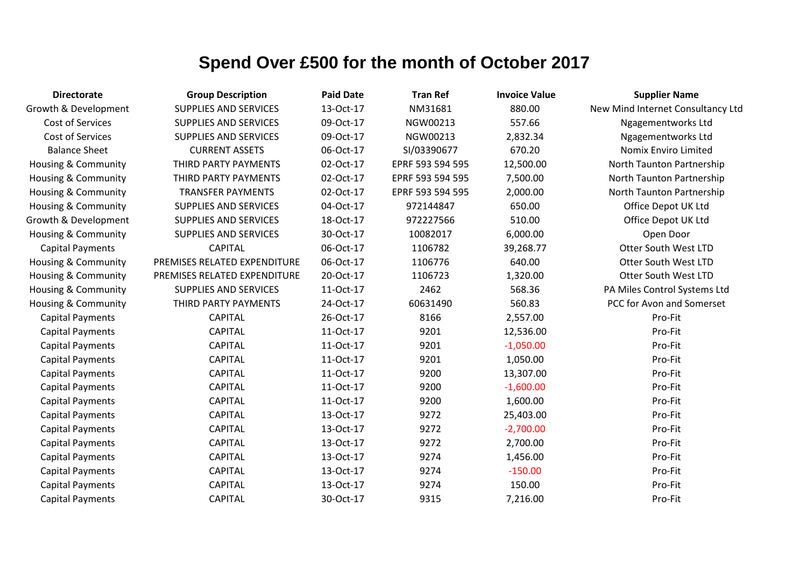| <b>Directorate</b>             | <b>Group Description</b>     | <b>Paid Date</b> | <b>Tran Ref</b>  | <b>Invoice Value</b> | <b>Supplier Name</b>              |
|--------------------------------|------------------------------|------------------|------------------|----------------------|-----------------------------------|
| Growth & Development           | <b>SUPPLIES AND SERVICES</b> | 13-Oct-17        | NM31681          | 880.00               | New Mind Internet Consultancy Ltd |
| Cost of Services               | <b>SUPPLIES AND SERVICES</b> | 09-Oct-17        | NGW00213         | 557.66               | Ngagementworks Ltd                |
| Cost of Services               | <b>SUPPLIES AND SERVICES</b> | 09-Oct-17        | NGW00213         | 2,832.34             | Ngagementworks Ltd                |
| <b>Balance Sheet</b>           | <b>CURRENT ASSETS</b>        | 06-Oct-17        | SI/03390677      | 670.20               | Nomix Enviro Limited              |
| <b>Housing &amp; Community</b> | THIRD PARTY PAYMENTS         | 02-Oct-17        | EPRF 593 594 595 | 12,500.00            | North Taunton Partnership         |
| Housing & Community            | THIRD PARTY PAYMENTS         | 02-Oct-17        | EPRF 593 594 595 | 7,500.00             | North Taunton Partnership         |
| Housing & Community            | <b>TRANSFER PAYMENTS</b>     | 02-Oct-17        | EPRF 593 594 595 | 2,000.00             | North Taunton Partnership         |
| <b>Housing &amp; Community</b> | <b>SUPPLIES AND SERVICES</b> | 04-Oct-17        | 972144847        | 650.00               | Office Depot UK Ltd               |
| Growth & Development           | <b>SUPPLIES AND SERVICES</b> | 18-Oct-17        | 972227566        | 510.00               | Office Depot UK Ltd               |
| Housing & Community            | SUPPLIES AND SERVICES        | 30-Oct-17        | 10082017         | 6,000.00             | Open Door                         |
| <b>Capital Payments</b>        | <b>CAPITAL</b>               | 06-Oct-17        | 1106782          | 39,268.77            | Otter South West LTD              |
| <b>Housing &amp; Community</b> | PREMISES RELATED EXPENDITURE | 06-Oct-17        | 1106776          | 640.00               | <b>Otter South West LTD</b>       |
| Housing & Community            | PREMISES RELATED EXPENDITURE | 20-Oct-17        | 1106723          | 1,320.00             | <b>Otter South West LTD</b>       |
| Housing & Community            | <b>SUPPLIES AND SERVICES</b> | 11-Oct-17        | 2462             | 568.36               | PA Miles Control Systems Ltd      |
| Housing & Community            | THIRD PARTY PAYMENTS         | 24-Oct-17        | 60631490         | 560.83               | PCC for Avon and Somerset         |
| <b>Capital Payments</b>        | <b>CAPITAL</b>               | 26-Oct-17        | 8166             | 2,557.00             | Pro-Fit                           |
| <b>Capital Payments</b>        | <b>CAPITAL</b>               | 11-Oct-17        | 9201             | 12,536.00            | Pro-Fit                           |
| <b>Capital Payments</b>        | <b>CAPITAL</b>               | 11-Oct-17        | 9201             | $-1,050.00$          | Pro-Fit                           |
| <b>Capital Payments</b>        | <b>CAPITAL</b>               | 11-Oct-17        | 9201             | 1,050.00             | Pro-Fit                           |
| <b>Capital Payments</b>        | <b>CAPITAL</b>               | 11-Oct-17        | 9200             | 13,307.00            | Pro-Fit                           |
| <b>Capital Payments</b>        | <b>CAPITAL</b>               | 11-Oct-17        | 9200             | $-1,600.00$          | Pro-Fit                           |
| <b>Capital Payments</b>        | <b>CAPITAL</b>               | 11-Oct-17        | 9200             | 1,600.00             | Pro-Fit                           |
| <b>Capital Payments</b>        | <b>CAPITAL</b>               | 13-Oct-17        | 9272             | 25,403.00            | Pro-Fit                           |
| <b>Capital Payments</b>        | <b>CAPITAL</b>               | 13-Oct-17        | 9272             | $-2,700.00$          | Pro-Fit                           |
| <b>Capital Payments</b>        | <b>CAPITAL</b>               | 13-Oct-17        | 9272             | 2,700.00             | Pro-Fit                           |
| <b>Capital Payments</b>        | <b>CAPITAL</b>               | 13-Oct-17        | 9274             | 1,456.00             | Pro-Fit                           |
| <b>Capital Payments</b>        | <b>CAPITAL</b>               | 13-Oct-17        | 9274             | $-150.00$            | Pro-Fit                           |
| <b>Capital Payments</b>        | <b>CAPITAL</b>               | 13-Oct-17        | 9274             | 150.00               | Pro-Fit                           |
| <b>Capital Payments</b>        | <b>CAPITAL</b>               | 30-Oct-17        | 9315             | 7,216.00             | Pro-Fit                           |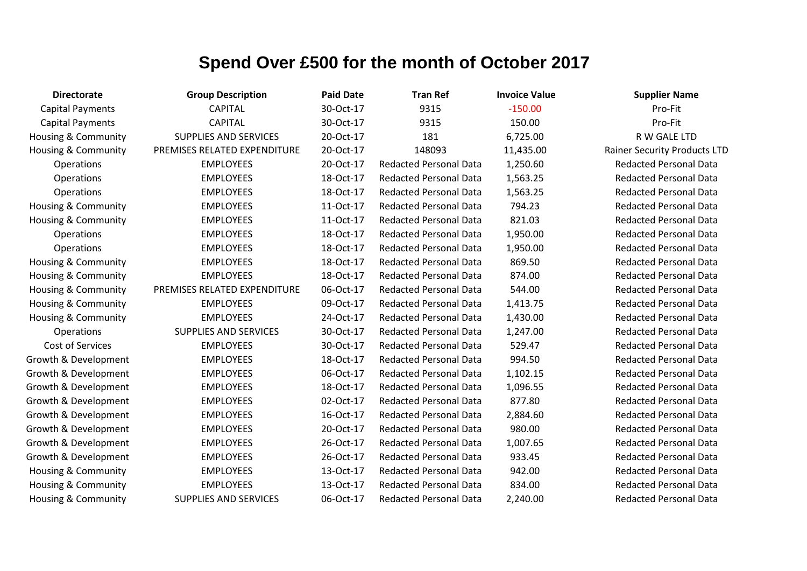| <b>Directorate</b>             | <b>Group Description</b>     | <b>Paid Date</b> | <b>Tran Ref</b>               | <b>Invoice Value</b> | <b>Supplier Name</b>                |
|--------------------------------|------------------------------|------------------|-------------------------------|----------------------|-------------------------------------|
| <b>Capital Payments</b>        | <b>CAPITAL</b>               | 30-Oct-17        | 9315                          | $-150.00$            | Pro-Fit                             |
| <b>Capital Payments</b>        | <b>CAPITAL</b>               | 30-Oct-17        | 9315                          | 150.00               | Pro-Fit                             |
| <b>Housing &amp; Community</b> | <b>SUPPLIES AND SERVICES</b> | 20-Oct-17        | 181                           | 6,725.00             | R W GALE LTD                        |
| <b>Housing &amp; Community</b> | PREMISES RELATED EXPENDITURE | 20-Oct-17        | 148093                        | 11,435.00            | <b>Rainer Security Products LTD</b> |
| Operations                     | <b>EMPLOYEES</b>             | 20-Oct-17        | <b>Redacted Personal Data</b> | 1,250.60             | <b>Redacted Personal Data</b>       |
| Operations                     | <b>EMPLOYEES</b>             | 18-Oct-17        | <b>Redacted Personal Data</b> | 1,563.25             | <b>Redacted Personal Data</b>       |
| Operations                     | <b>EMPLOYEES</b>             | 18-Oct-17        | <b>Redacted Personal Data</b> | 1,563.25             | <b>Redacted Personal Data</b>       |
| Housing & Community            | <b>EMPLOYEES</b>             | 11-Oct-17        | <b>Redacted Personal Data</b> | 794.23               | <b>Redacted Personal Data</b>       |
| Housing & Community            | <b>EMPLOYEES</b>             | 11-Oct-17        | <b>Redacted Personal Data</b> | 821.03               | <b>Redacted Personal Data</b>       |
| Operations                     | <b>EMPLOYEES</b>             | 18-Oct-17        | <b>Redacted Personal Data</b> | 1,950.00             | <b>Redacted Personal Data</b>       |
| Operations                     | <b>EMPLOYEES</b>             | 18-Oct-17        | <b>Redacted Personal Data</b> | 1,950.00             | <b>Redacted Personal Data</b>       |
| Housing & Community            | <b>EMPLOYEES</b>             | 18-Oct-17        | <b>Redacted Personal Data</b> | 869.50               | <b>Redacted Personal Data</b>       |
| Housing & Community            | <b>EMPLOYEES</b>             | 18-Oct-17        | <b>Redacted Personal Data</b> | 874.00               | <b>Redacted Personal Data</b>       |
| <b>Housing &amp; Community</b> | PREMISES RELATED EXPENDITURE | 06-Oct-17        | <b>Redacted Personal Data</b> | 544.00               | <b>Redacted Personal Data</b>       |
| Housing & Community            | <b>EMPLOYEES</b>             | 09-Oct-17        | <b>Redacted Personal Data</b> | 1,413.75             | <b>Redacted Personal Data</b>       |
| Housing & Community            | <b>EMPLOYEES</b>             | 24-Oct-17        | <b>Redacted Personal Data</b> | 1,430.00             | <b>Redacted Personal Data</b>       |
| Operations                     | <b>SUPPLIES AND SERVICES</b> | 30-Oct-17        | <b>Redacted Personal Data</b> | 1,247.00             | <b>Redacted Personal Data</b>       |
| Cost of Services               | <b>EMPLOYEES</b>             | 30-Oct-17        | <b>Redacted Personal Data</b> | 529.47               | <b>Redacted Personal Data</b>       |
| Growth & Development           | <b>EMPLOYEES</b>             | 18-Oct-17        | <b>Redacted Personal Data</b> | 994.50               | <b>Redacted Personal Data</b>       |
| Growth & Development           | <b>EMPLOYEES</b>             | 06-Oct-17        | <b>Redacted Personal Data</b> | 1,102.15             | <b>Redacted Personal Data</b>       |
| Growth & Development           | <b>EMPLOYEES</b>             | 18-Oct-17        | <b>Redacted Personal Data</b> | 1,096.55             | <b>Redacted Personal Data</b>       |
| Growth & Development           | <b>EMPLOYEES</b>             | 02-Oct-17        | <b>Redacted Personal Data</b> | 877.80               | <b>Redacted Personal Data</b>       |
| Growth & Development           | <b>EMPLOYEES</b>             | 16-Oct-17        | <b>Redacted Personal Data</b> | 2,884.60             | <b>Redacted Personal Data</b>       |
| Growth & Development           | <b>EMPLOYEES</b>             | 20-Oct-17        | <b>Redacted Personal Data</b> | 980.00               | <b>Redacted Personal Data</b>       |
| Growth & Development           | <b>EMPLOYEES</b>             | 26-Oct-17        | <b>Redacted Personal Data</b> | 1,007.65             | <b>Redacted Personal Data</b>       |
| Growth & Development           | <b>EMPLOYEES</b>             | 26-Oct-17        | <b>Redacted Personal Data</b> | 933.45               | <b>Redacted Personal Data</b>       |
| <b>Housing &amp; Community</b> | <b>EMPLOYEES</b>             | 13-Oct-17        | <b>Redacted Personal Data</b> | 942.00               | <b>Redacted Personal Data</b>       |
| Housing & Community            | <b>EMPLOYEES</b>             | 13-Oct-17        | <b>Redacted Personal Data</b> | 834.00               | <b>Redacted Personal Data</b>       |
| Housing & Community            | <b>SUPPLIES AND SERVICES</b> | 06-Oct-17        | <b>Redacted Personal Data</b> | 2,240.00             | <b>Redacted Personal Data</b>       |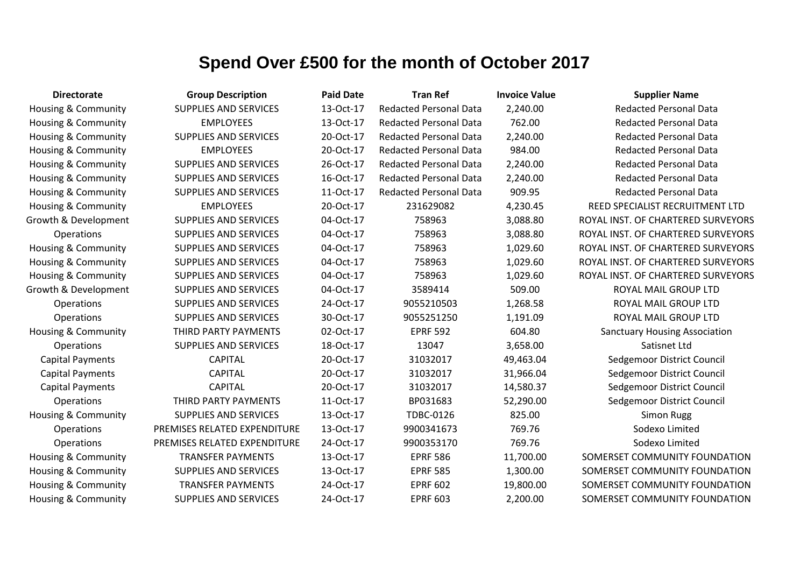| <b>Directorate</b>             | <b>Group Description</b>     | <b>Paid Date</b> | <b>Tran Ref</b>               | <b>Invoice Value</b> | <b>Supplier Name</b>                 |
|--------------------------------|------------------------------|------------------|-------------------------------|----------------------|--------------------------------------|
| <b>Housing &amp; Community</b> | <b>SUPPLIES AND SERVICES</b> | 13-Oct-17        | <b>Redacted Personal Data</b> | 2,240.00             | <b>Redacted Personal Data</b>        |
| Housing & Community            | <b>EMPLOYEES</b>             | 13-Oct-17        | <b>Redacted Personal Data</b> | 762.00               | <b>Redacted Personal Data</b>        |
| <b>Housing &amp; Community</b> | <b>SUPPLIES AND SERVICES</b> | 20-Oct-17        | <b>Redacted Personal Data</b> | 2,240.00             | <b>Redacted Personal Data</b>        |
| Housing & Community            | <b>EMPLOYEES</b>             | 20-Oct-17        | <b>Redacted Personal Data</b> | 984.00               | <b>Redacted Personal Data</b>        |
| Housing & Community            | <b>SUPPLIES AND SERVICES</b> | 26-Oct-17        | <b>Redacted Personal Data</b> | 2,240.00             | <b>Redacted Personal Data</b>        |
| <b>Housing &amp; Community</b> | <b>SUPPLIES AND SERVICES</b> | 16-Oct-17        | <b>Redacted Personal Data</b> | 2,240.00             | <b>Redacted Personal Data</b>        |
| Housing & Community            | <b>SUPPLIES AND SERVICES</b> | 11-Oct-17        | <b>Redacted Personal Data</b> | 909.95               | <b>Redacted Personal Data</b>        |
| <b>Housing &amp; Community</b> | <b>EMPLOYEES</b>             | 20-Oct-17        | 231629082                     | 4,230.45             | REED SPECIALIST RECRUITMENT LTD      |
| Growth & Development           | <b>SUPPLIES AND SERVICES</b> | 04-Oct-17        | 758963                        | 3,088.80             | ROYAL INST. OF CHARTERED SURVEYORS   |
| <b>Operations</b>              | <b>SUPPLIES AND SERVICES</b> | 04-Oct-17        | 758963                        | 3,088.80             | ROYAL INST. OF CHARTERED SURVEYORS   |
| Housing & Community            | <b>SUPPLIES AND SERVICES</b> | 04-Oct-17        | 758963                        | 1,029.60             | ROYAL INST. OF CHARTERED SURVEYORS   |
| Housing & Community            | <b>SUPPLIES AND SERVICES</b> | 04-Oct-17        | 758963                        | 1,029.60             | ROYAL INST. OF CHARTERED SURVEYORS   |
| <b>Housing &amp; Community</b> | <b>SUPPLIES AND SERVICES</b> | 04-Oct-17        | 758963                        | 1,029.60             | ROYAL INST. OF CHARTERED SURVEYORS   |
| Growth & Development           | <b>SUPPLIES AND SERVICES</b> | 04-Oct-17        | 3589414                       | 509.00               | ROYAL MAIL GROUP LTD                 |
| Operations                     | <b>SUPPLIES AND SERVICES</b> | 24-Oct-17        | 9055210503                    | 1,268.58             | ROYAL MAIL GROUP LTD                 |
| Operations                     | <b>SUPPLIES AND SERVICES</b> | 30-Oct-17        | 9055251250                    | 1,191.09             | ROYAL MAIL GROUP LTD                 |
| <b>Housing &amp; Community</b> | THIRD PARTY PAYMENTS         | 02-Oct-17        | <b>EPRF 592</b>               | 604.80               | <b>Sanctuary Housing Association</b> |
| Operations                     | <b>SUPPLIES AND SERVICES</b> | 18-Oct-17        | 13047                         | 3,658.00             | Satisnet Ltd                         |
| <b>Capital Payments</b>        | <b>CAPITAL</b>               | 20-Oct-17        | 31032017                      | 49,463.04            | Sedgemoor District Council           |
| <b>Capital Payments</b>        | <b>CAPITAL</b>               | 20-Oct-17        | 31032017                      | 31,966.04            | Sedgemoor District Council           |
| <b>Capital Payments</b>        | <b>CAPITAL</b>               | 20-Oct-17        | 31032017                      | 14,580.37            | Sedgemoor District Council           |
| Operations                     | THIRD PARTY PAYMENTS         | 11-Oct-17        | BP031683                      | 52,290.00            | Sedgemoor District Council           |
| <b>Housing &amp; Community</b> | <b>SUPPLIES AND SERVICES</b> | 13-Oct-17        | <b>TDBC-0126</b>              | 825.00               | <b>Simon Rugg</b>                    |
| <b>Operations</b>              | PREMISES RELATED EXPENDITURE | 13-Oct-17        | 9900341673                    | 769.76               | Sodexo Limited                       |
| Operations                     | PREMISES RELATED EXPENDITURE | 24-Oct-17        | 9900353170                    | 769.76               | Sodexo Limited                       |
| Housing & Community            | <b>TRANSFER PAYMENTS</b>     | 13-Oct-17        | <b>EPRF 586</b>               | 11,700.00            | SOMERSET COMMUNITY FOUNDATION        |
| <b>Housing &amp; Community</b> | <b>SUPPLIES AND SERVICES</b> | 13-Oct-17        | <b>EPRF 585</b>               | 1,300.00             | SOMERSET COMMUNITY FOUNDATION        |
| <b>Housing &amp; Community</b> | <b>TRANSFER PAYMENTS</b>     | 24-Oct-17        | <b>EPRF 602</b>               | 19,800.00            | SOMERSET COMMUNITY FOUNDATION        |
| <b>Housing &amp; Community</b> | <b>SUPPLIES AND SERVICES</b> | 24-Oct-17        | <b>EPRF 603</b>               | 2,200.00             | SOMERSET COMMUNITY FOUNDATION        |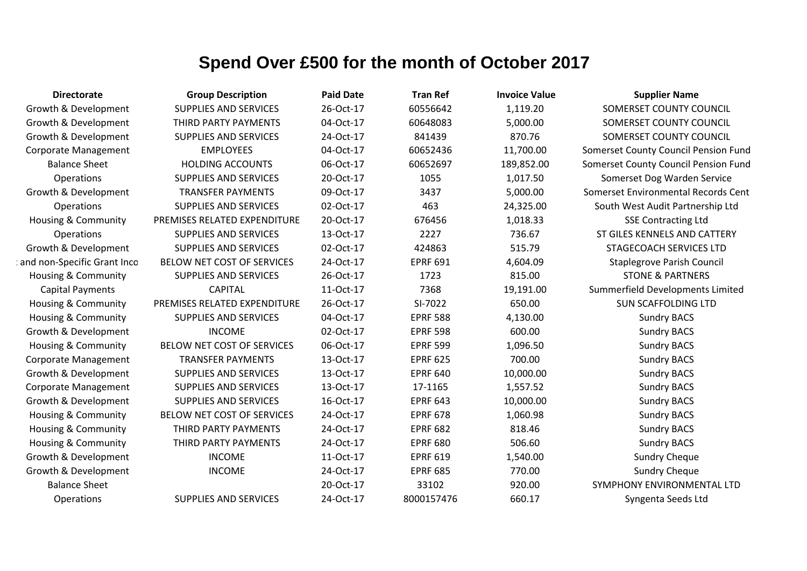| <b>Directorate</b>             | <b>Group Description</b>     | <b>Paid Date</b> | <b>Tran Ref</b> | <b>Invoice Value</b> | <b>Supplier Name</b>                 |
|--------------------------------|------------------------------|------------------|-----------------|----------------------|--------------------------------------|
| Growth & Development           | <b>SUPPLIES AND SERVICES</b> | 26-Oct-17        | 60556642        | 1,119.20             | SOMERSET COUNTY COUNCIL              |
| Growth & Development           | THIRD PARTY PAYMENTS         | 04-Oct-17        | 60648083        | 5,000.00             | SOMERSET COUNTY COUNCIL              |
| Growth & Development           | <b>SUPPLIES AND SERVICES</b> | 24-Oct-17        | 841439          | 870.76               | SOMERSET COUNTY COUNCIL              |
| Corporate Management           | <b>EMPLOYEES</b>             | 04-Oct-17        | 60652436        | 11,700.00            | Somerset County Council Pension Fund |
| <b>Balance Sheet</b>           | <b>HOLDING ACCOUNTS</b>      | 06-Oct-17        | 60652697        | 189,852.00           | Somerset County Council Pension Fund |
| Operations                     | <b>SUPPLIES AND SERVICES</b> | 20-Oct-17        | 1055            | 1,017.50             | Somerset Dog Warden Service          |
| Growth & Development           | <b>TRANSFER PAYMENTS</b>     | 09-Oct-17        | 3437            | 5,000.00             | Somerset Environmental Records Cent  |
| Operations                     | <b>SUPPLIES AND SERVICES</b> | 02-Oct-17        | 463             | 24,325.00            | South West Audit Partnership Ltd     |
| <b>Housing &amp; Community</b> | PREMISES RELATED EXPENDITURE | 20-Oct-17        | 676456          | 1,018.33             | <b>SSE Contracting Ltd</b>           |
| Operations                     | <b>SUPPLIES AND SERVICES</b> | 13-Oct-17        | 2227            | 736.67               | ST GILES KENNELS AND CATTERY         |
| Growth & Development           | <b>SUPPLIES AND SERVICES</b> | 02-Oct-17        | 424863          | 515.79               | <b>STAGECOACH SERVICES LTD</b>       |
| and non-Specific Grant Inco    | BELOW NET COST OF SERVICES   | 24-Oct-17        | <b>EPRF 691</b> | 4,604.09             | <b>Staplegrove Parish Council</b>    |
| <b>Housing &amp; Community</b> | <b>SUPPLIES AND SERVICES</b> | 26-Oct-17        | 1723            | 815.00               | <b>STONE &amp; PARTNERS</b>          |
| <b>Capital Payments</b>        | <b>CAPITAL</b>               | 11-Oct-17        | 7368            | 19,191.00            | Summerfield Developments Limited     |
| Housing & Community            | PREMISES RELATED EXPENDITURE | 26-Oct-17        | SI-7022         | 650.00               | <b>SUN SCAFFOLDING LTD</b>           |
| <b>Housing &amp; Community</b> | <b>SUPPLIES AND SERVICES</b> | 04-Oct-17        | <b>EPRF 588</b> | 4,130.00             | <b>Sundry BACS</b>                   |
| Growth & Development           | <b>INCOME</b>                | 02-Oct-17        | <b>EPRF 598</b> | 600.00               | <b>Sundry BACS</b>                   |
| <b>Housing &amp; Community</b> | BELOW NET COST OF SERVICES   | 06-Oct-17        | <b>EPRF 599</b> | 1,096.50             | <b>Sundry BACS</b>                   |
| <b>Corporate Management</b>    | <b>TRANSFER PAYMENTS</b>     | 13-Oct-17        | <b>EPRF 625</b> | 700.00               | <b>Sundry BACS</b>                   |
| Growth & Development           | <b>SUPPLIES AND SERVICES</b> | 13-Oct-17        | <b>EPRF 640</b> | 10,000.00            | <b>Sundry BACS</b>                   |
| <b>Corporate Management</b>    | <b>SUPPLIES AND SERVICES</b> | 13-Oct-17        | 17-1165         | 1,557.52             | <b>Sundry BACS</b>                   |
| Growth & Development           | <b>SUPPLIES AND SERVICES</b> | 16-Oct-17        | <b>EPRF 643</b> | 10,000.00            | <b>Sundry BACS</b>                   |
| Housing & Community            | BELOW NET COST OF SERVICES   | 24-Oct-17        | <b>EPRF 678</b> | 1,060.98             | <b>Sundry BACS</b>                   |
| Housing & Community            | THIRD PARTY PAYMENTS         | 24-Oct-17        | <b>EPRF 682</b> | 818.46               | <b>Sundry BACS</b>                   |
| Housing & Community            | THIRD PARTY PAYMENTS         | 24-Oct-17        | <b>EPRF 680</b> | 506.60               | <b>Sundry BACS</b>                   |
| Growth & Development           | <b>INCOME</b>                | 11-Oct-17        | <b>EPRF 619</b> | 1,540.00             | <b>Sundry Cheque</b>                 |
| Growth & Development           | <b>INCOME</b>                | 24-Oct-17        | <b>EPRF 685</b> | 770.00               | <b>Sundry Cheque</b>                 |
| <b>Balance Sheet</b>           |                              | 20-Oct-17        | 33102           | 920.00               | SYMPHONY ENVIRONMENTAL LTD           |
| Operations                     | <b>SUPPLIES AND SERVICES</b> | 24-Oct-17        | 8000157476      | 660.17               | Syngenta Seeds Ltd                   |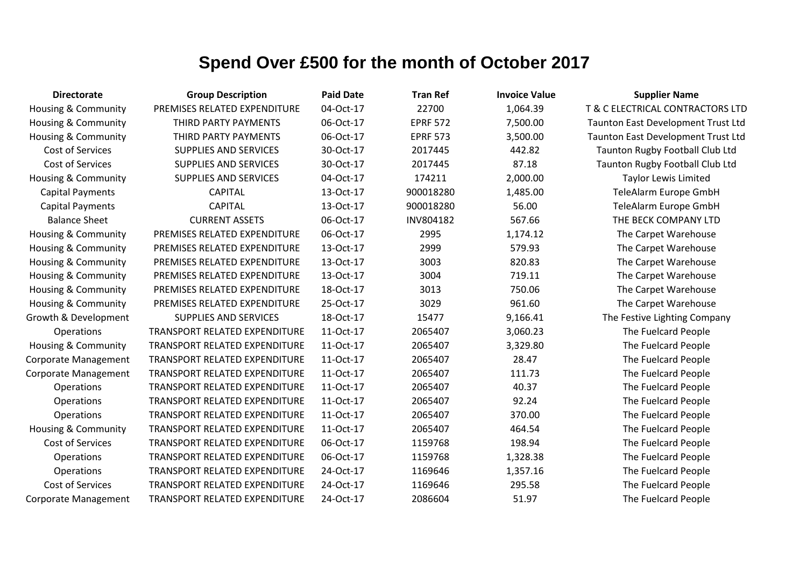| <b>Directorate</b>             | <b>Group Description</b>             | <b>Paid Date</b> | <b>Tran Ref</b> | <b>Invoice Value</b> | <b>Supplier Name</b>               |
|--------------------------------|--------------------------------------|------------------|-----------------|----------------------|------------------------------------|
| Housing & Community            | PREMISES RELATED EXPENDITURE         | 04-Oct-17        | 22700           | 1,064.39             | T & C ELECTRICAL CONTRACTORS LTD   |
| <b>Housing &amp; Community</b> | THIRD PARTY PAYMENTS                 | 06-Oct-17        | <b>EPRF 572</b> | 7,500.00             | Taunton East Development Trust Ltd |
| <b>Housing &amp; Community</b> | THIRD PARTY PAYMENTS                 | 06-Oct-17        | <b>EPRF 573</b> | 3,500.00             | Taunton East Development Trust Ltd |
| Cost of Services               | <b>SUPPLIES AND SERVICES</b>         | 30-Oct-17        | 2017445         | 442.82               | Taunton Rugby Football Club Ltd    |
| Cost of Services               | <b>SUPPLIES AND SERVICES</b>         | 30-Oct-17        | 2017445         | 87.18                | Taunton Rugby Football Club Ltd    |
| <b>Housing &amp; Community</b> | <b>SUPPLIES AND SERVICES</b>         | 04-Oct-17        | 174211          | 2,000.00             | <b>Taylor Lewis Limited</b>        |
| <b>Capital Payments</b>        | <b>CAPITAL</b>                       | 13-Oct-17        | 900018280       | 1,485.00             | TeleAlarm Europe GmbH              |
| <b>Capital Payments</b>        | <b>CAPITAL</b>                       | 13-Oct-17        | 900018280       | 56.00                | TeleAlarm Europe GmbH              |
| <b>Balance Sheet</b>           | <b>CURRENT ASSETS</b>                | 06-Oct-17        | INV804182       | 567.66               | THE BECK COMPANY LTD               |
| <b>Housing &amp; Community</b> | PREMISES RELATED EXPENDITURE         | 06-Oct-17        | 2995            | 1,174.12             | The Carpet Warehouse               |
| Housing & Community            | PREMISES RELATED EXPENDITURE         | 13-Oct-17        | 2999            | 579.93               | The Carpet Warehouse               |
| <b>Housing &amp; Community</b> | PREMISES RELATED EXPENDITURE         | 13-Oct-17        | 3003            | 820.83               | The Carpet Warehouse               |
| Housing & Community            | PREMISES RELATED EXPENDITURE         | 13-Oct-17        | 3004            | 719.11               | The Carpet Warehouse               |
| Housing & Community            | PREMISES RELATED EXPENDITURE         | 18-Oct-17        | 3013            | 750.06               | The Carpet Warehouse               |
| Housing & Community            | PREMISES RELATED EXPENDITURE         | 25-Oct-17        | 3029            | 961.60               | The Carpet Warehouse               |
| Growth & Development           | <b>SUPPLIES AND SERVICES</b>         | 18-Oct-17        | 15477           | 9,166.41             | The Festive Lighting Company       |
| Operations                     | <b>TRANSPORT RELATED EXPENDITURE</b> | 11-Oct-17        | 2065407         | 3,060.23             | The Fuelcard People                |
| <b>Housing &amp; Community</b> | TRANSPORT RELATED EXPENDITURE        | 11-Oct-17        | 2065407         | 3,329.80             | The Fuelcard People                |
| Corporate Management           | <b>TRANSPORT RELATED EXPENDITURE</b> | 11-Oct-17        | 2065407         | 28.47                | The Fuelcard People                |
| Corporate Management           | <b>TRANSPORT RELATED EXPENDITURE</b> | 11-Oct-17        | 2065407         | 111.73               | The Fuelcard People                |
| Operations                     | TRANSPORT RELATED EXPENDITURE        | 11-Oct-17        | 2065407         | 40.37                | The Fuelcard People                |
| Operations                     | TRANSPORT RELATED EXPENDITURE        | 11-Oct-17        | 2065407         | 92.24                | The Fuelcard People                |
| Operations                     | TRANSPORT RELATED EXPENDITURE        | 11-Oct-17        | 2065407         | 370.00               | The Fuelcard People                |
| <b>Housing &amp; Community</b> | <b>TRANSPORT RELATED EXPENDITURE</b> | 11-Oct-17        | 2065407         | 464.54               | The Fuelcard People                |
| Cost of Services               | <b>TRANSPORT RELATED EXPENDITURE</b> | 06-Oct-17        | 1159768         | 198.94               | The Fuelcard People                |
| Operations                     | TRANSPORT RELATED EXPENDITURE        | 06-Oct-17        | 1159768         | 1,328.38             | The Fuelcard People                |
| Operations                     | TRANSPORT RELATED EXPENDITURE        | 24-Oct-17        | 1169646         | 1,357.16             | The Fuelcard People                |
| Cost of Services               | TRANSPORT RELATED EXPENDITURE        | 24-Oct-17        | 1169646         | 295.58               | The Fuelcard People                |
| Corporate Management           | <b>TRANSPORT RELATED EXPENDITURE</b> | 24-Oct-17        | 2086604         | 51.97                | The Fuelcard People                |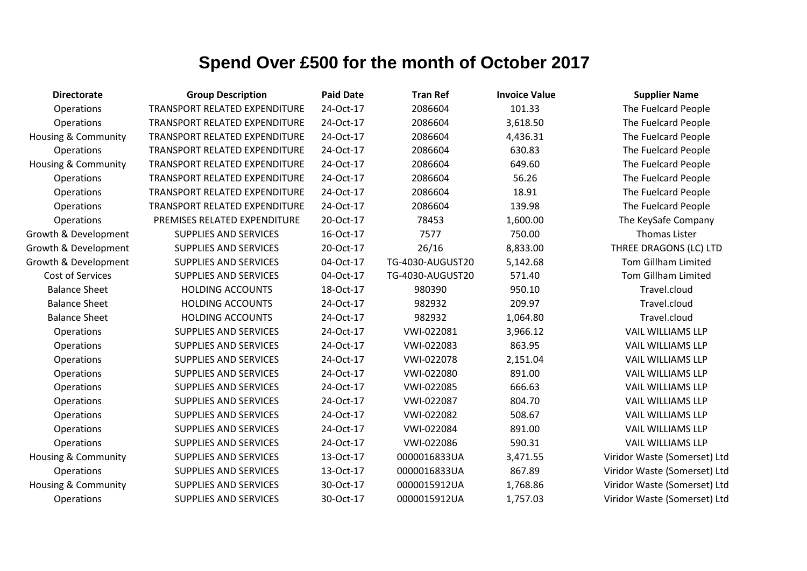| <b>Directorate</b>             | <b>Group Description</b>             | <b>Paid Date</b> | <b>Tran Ref</b>  | <b>Invoice Value</b> | <b>Supplier Name</b>         |
|--------------------------------|--------------------------------------|------------------|------------------|----------------------|------------------------------|
| Operations                     | TRANSPORT RELATED EXPENDITURE        | 24-Oct-17        | 2086604          | 101.33               | The Fuelcard People          |
| Operations                     | TRANSPORT RELATED EXPENDITURE        | 24-Oct-17        | 2086604          | 3,618.50             | The Fuelcard People          |
| <b>Housing &amp; Community</b> | TRANSPORT RELATED EXPENDITURE        | 24-Oct-17        | 2086604          | 4,436.31             | The Fuelcard People          |
| <b>Operations</b>              | <b>TRANSPORT RELATED EXPENDITURE</b> | 24-Oct-17        | 2086604          | 630.83               | The Fuelcard People          |
| <b>Housing &amp; Community</b> | <b>TRANSPORT RELATED EXPENDITURE</b> | 24-Oct-17        | 2086604          | 649.60               | The Fuelcard People          |
| Operations                     | TRANSPORT RELATED EXPENDITURE        | 24-Oct-17        | 2086604          | 56.26                | The Fuelcard People          |
| Operations                     | <b>TRANSPORT RELATED EXPENDITURE</b> | 24-Oct-17        | 2086604          | 18.91                | The Fuelcard People          |
| Operations                     | <b>TRANSPORT RELATED EXPENDITURE</b> | 24-Oct-17        | 2086604          | 139.98               | The Fuelcard People          |
| Operations                     | PREMISES RELATED EXPENDITURE         | 20-Oct-17        | 78453            | 1,600.00             | The KeySafe Company          |
| Growth & Development           | <b>SUPPLIES AND SERVICES</b>         | 16-Oct-17        | 7577             | 750.00               | <b>Thomas Lister</b>         |
| Growth & Development           | <b>SUPPLIES AND SERVICES</b>         | 20-Oct-17        | 26/16            | 8,833.00             | THREE DRAGONS (LC) LTD       |
| Growth & Development           | <b>SUPPLIES AND SERVICES</b>         | 04-Oct-17        | TG-4030-AUGUST20 | 5,142.68             | <b>Tom Gillham Limited</b>   |
| <b>Cost of Services</b>        | <b>SUPPLIES AND SERVICES</b>         | 04-Oct-17        | TG-4030-AUGUST20 | 571.40               | <b>Tom Gillham Limited</b>   |
| <b>Balance Sheet</b>           | <b>HOLDING ACCOUNTS</b>              | 18-Oct-17        | 980390           | 950.10               | Travel.cloud                 |
| <b>Balance Sheet</b>           | <b>HOLDING ACCOUNTS</b>              | 24-Oct-17        | 982932           | 209.97               | Travel.cloud                 |
| <b>Balance Sheet</b>           | <b>HOLDING ACCOUNTS</b>              | 24-Oct-17        | 982932           | 1,064.80             | Travel.cloud                 |
| Operations                     | <b>SUPPLIES AND SERVICES</b>         | 24-Oct-17        | VWI-022081       | 3,966.12             | <b>VAIL WILLIAMS LLP</b>     |
| Operations                     | <b>SUPPLIES AND SERVICES</b>         | 24-Oct-17        | VWI-022083       | 863.95               | <b>VAIL WILLIAMS LLP</b>     |
| Operations                     | <b>SUPPLIES AND SERVICES</b>         | 24-Oct-17        | VWI-022078       | 2,151.04             | <b>VAIL WILLIAMS LLP</b>     |
| Operations                     | <b>SUPPLIES AND SERVICES</b>         | 24-Oct-17        | VWI-022080       | 891.00               | <b>VAIL WILLIAMS LLP</b>     |
| Operations                     | SUPPLIES AND SERVICES                | 24-Oct-17        | VWI-022085       | 666.63               | <b>VAIL WILLIAMS LLP</b>     |
| Operations                     | <b>SUPPLIES AND SERVICES</b>         | 24-Oct-17        | VWI-022087       | 804.70               | <b>VAIL WILLIAMS LLP</b>     |
| Operations                     | <b>SUPPLIES AND SERVICES</b>         | 24-Oct-17        | VWI-022082       | 508.67               | <b>VAIL WILLIAMS LLP</b>     |
| Operations                     | <b>SUPPLIES AND SERVICES</b>         | 24-Oct-17        | VWI-022084       | 891.00               | <b>VAIL WILLIAMS LLP</b>     |
| Operations                     | SUPPLIES AND SERVICES                | 24-Oct-17        | VWI-022086       | 590.31               | <b>VAIL WILLIAMS LLP</b>     |
| Housing & Community            | SUPPLIES AND SERVICES                | 13-Oct-17        | 0000016833UA     | 3,471.55             | Viridor Waste (Somerset) Ltd |
| Operations                     | <b>SUPPLIES AND SERVICES</b>         | 13-Oct-17        | 0000016833UA     | 867.89               | Viridor Waste (Somerset) Ltd |
| Housing & Community            | <b>SUPPLIES AND SERVICES</b>         | 30-Oct-17        | 0000015912UA     | 1,768.86             | Viridor Waste (Somerset) Ltd |
| Operations                     | <b>SUPPLIES AND SERVICES</b>         | 30-Oct-17        | 0000015912UA     | 1,757.03             | Viridor Waste (Somerset) Ltd |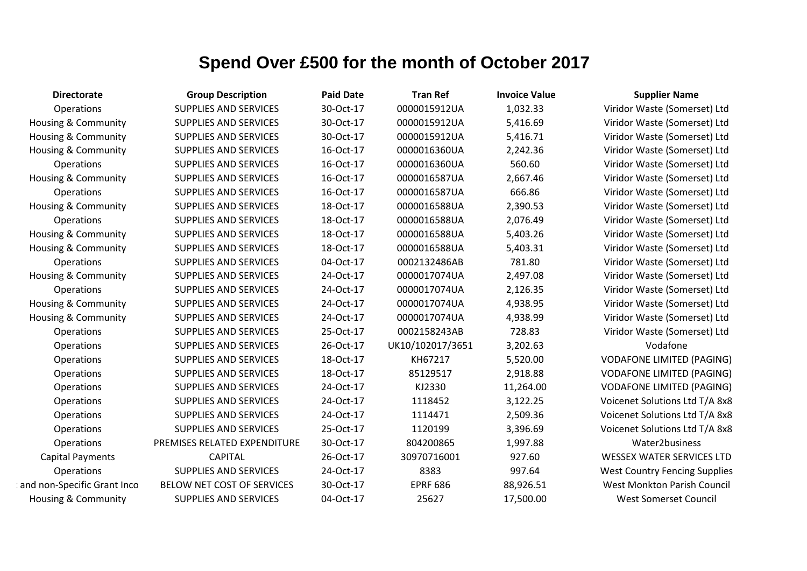| <b>Directorate</b>             | <b>Group Description</b>     | <b>Paid Date</b> | <b>Tran Ref</b>  | <b>Invoice Value</b> | <b>Supplier Name</b>                 |
|--------------------------------|------------------------------|------------------|------------------|----------------------|--------------------------------------|
| Operations                     | <b>SUPPLIES AND SERVICES</b> | 30-Oct-17        | 0000015912UA     | 1,032.33             | Viridor Waste (Somerset) Ltd         |
| Housing & Community            | <b>SUPPLIES AND SERVICES</b> | 30-Oct-17        | 0000015912UA     | 5,416.69             | Viridor Waste (Somerset) Ltd         |
| <b>Housing &amp; Community</b> | <b>SUPPLIES AND SERVICES</b> | 30-Oct-17        | 0000015912UA     | 5,416.71             | Viridor Waste (Somerset) Ltd         |
| <b>Housing &amp; Community</b> | SUPPLIES AND SERVICES        | 16-Oct-17        | 0000016360UA     | 2,242.36             | Viridor Waste (Somerset) Ltd         |
| Operations                     | <b>SUPPLIES AND SERVICES</b> | 16-Oct-17        | 0000016360UA     | 560.60               | Viridor Waste (Somerset) Ltd         |
| Housing & Community            | <b>SUPPLIES AND SERVICES</b> | 16-Oct-17        | 0000016587UA     | 2,667.46             | Viridor Waste (Somerset) Ltd         |
| Operations                     | SUPPLIES AND SERVICES        | 16-Oct-17        | 0000016587UA     | 666.86               | Viridor Waste (Somerset) Ltd         |
| <b>Housing &amp; Community</b> | <b>SUPPLIES AND SERVICES</b> | 18-Oct-17        | 0000016588UA     | 2,390.53             | Viridor Waste (Somerset) Ltd         |
| Operations                     | <b>SUPPLIES AND SERVICES</b> | 18-Oct-17        | 0000016588UA     | 2,076.49             | Viridor Waste (Somerset) Ltd         |
| <b>Housing &amp; Community</b> | <b>SUPPLIES AND SERVICES</b> | 18-Oct-17        | 0000016588UA     | 5,403.26             | Viridor Waste (Somerset) Ltd         |
| Housing & Community            | SUPPLIES AND SERVICES        | 18-Oct-17        | 0000016588UA     | 5,403.31             | Viridor Waste (Somerset) Ltd         |
| Operations                     | <b>SUPPLIES AND SERVICES</b> | 04-Oct-17        | 0002132486AB     | 781.80               | Viridor Waste (Somerset) Ltd         |
| Housing & Community            | <b>SUPPLIES AND SERVICES</b> | 24-Oct-17        | 0000017074UA     | 2,497.08             | Viridor Waste (Somerset) Ltd         |
| Operations                     | <b>SUPPLIES AND SERVICES</b> | 24-Oct-17        | 0000017074UA     | 2,126.35             | Viridor Waste (Somerset) Ltd         |
| Housing & Community            | SUPPLIES AND SERVICES        | 24-Oct-17        | 0000017074UA     | 4,938.95             | Viridor Waste (Somerset) Ltd         |
| <b>Housing &amp; Community</b> | <b>SUPPLIES AND SERVICES</b> | 24-Oct-17        | 0000017074UA     | 4,938.99             | Viridor Waste (Somerset) Ltd         |
| Operations                     | <b>SUPPLIES AND SERVICES</b> | 25-Oct-17        | 0002158243AB     | 728.83               | Viridor Waste (Somerset) Ltd         |
| Operations                     | <b>SUPPLIES AND SERVICES</b> | 26-Oct-17        | UK10/102017/3651 | 3,202.63             | Vodafone                             |
| Operations                     | SUPPLIES AND SERVICES        | 18-Oct-17        | KH67217          | 5,520.00             | <b>VODAFONE LIMITED (PAGING)</b>     |
| Operations                     | <b>SUPPLIES AND SERVICES</b> | 18-Oct-17        | 85129517         | 2,918.88             | <b>VODAFONE LIMITED (PAGING)</b>     |
| Operations                     | SUPPLIES AND SERVICES        | 24-Oct-17        | KJ2330           | 11,264.00            | <b>VODAFONE LIMITED (PAGING)</b>     |
| Operations                     | <b>SUPPLIES AND SERVICES</b> | 24-Oct-17        | 1118452          | 3,122.25             | Voicenet Solutions Ltd T/A 8x8       |
| Operations                     | SUPPLIES AND SERVICES        | 24-Oct-17        | 1114471          | 2,509.36             | Voicenet Solutions Ltd T/A 8x8       |
| Operations                     | <b>SUPPLIES AND SERVICES</b> | 25-Oct-17        | 1120199          | 3,396.69             | Voicenet Solutions Ltd T/A 8x8       |
| Operations                     | PREMISES RELATED EXPENDITURE | 30-Oct-17        | 804200865        | 1,997.88             | Water2business                       |
| <b>Capital Payments</b>        | <b>CAPITAL</b>               | 26-Oct-17        | 30970716001      | 927.60               | <b>WESSEX WATER SERVICES LTD</b>     |
| Operations                     | <b>SUPPLIES AND SERVICES</b> | 24-Oct-17        | 8383             | 997.64               | <b>West Country Fencing Supplies</b> |
| and non-Specific Grant Inco    | BELOW NET COST OF SERVICES   | 30-Oct-17        | <b>EPRF 686</b>  | 88,926.51            | West Monkton Parish Council          |
| <b>Housing &amp; Community</b> | <b>SUPPLIES AND SERVICES</b> | 04-Oct-17        | 25627            | 17,500.00            | <b>West Somerset Council</b>         |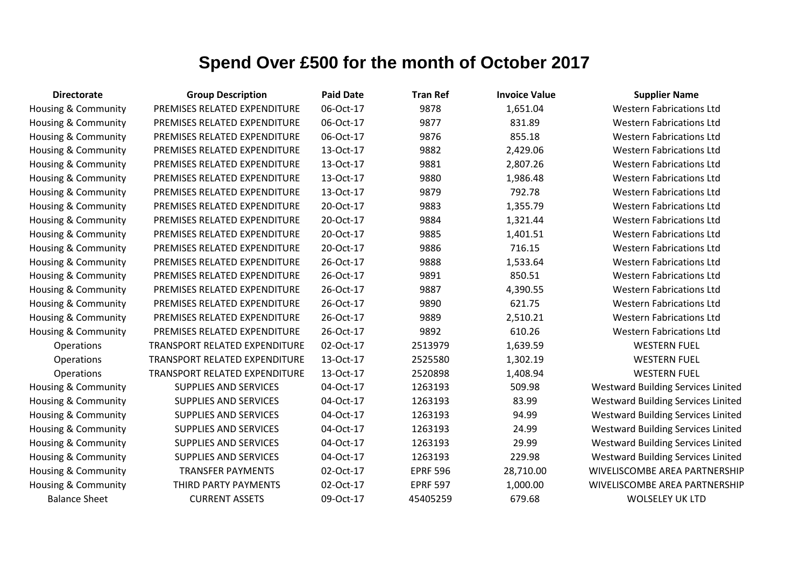| <b>Directorate</b>   | <b>Group Description</b>      | <b>Paid Date</b> | <b>Tran Ref</b> | <b>Invoice Value</b> | <b>Supplier Name</b>                      |
|----------------------|-------------------------------|------------------|-----------------|----------------------|-------------------------------------------|
| Housing & Community  | PREMISES RELATED EXPENDITURE  | 06-Oct-17        | 9878            | 1,651.04             | <b>Western Fabrications Ltd</b>           |
| Housing & Community  | PREMISES RELATED EXPENDITURE  | 06-Oct-17        | 9877            | 831.89               | <b>Western Fabrications Ltd</b>           |
| Housing & Community  | PREMISES RELATED EXPENDITURE  | 06-Oct-17        | 9876            | 855.18               | <b>Western Fabrications Ltd</b>           |
| Housing & Community  | PREMISES RELATED EXPENDITURE  | 13-Oct-17        | 9882            | 2,429.06             | <b>Western Fabrications Ltd</b>           |
| Housing & Community  | PREMISES RELATED EXPENDITURE  | 13-Oct-17        | 9881            | 2,807.26             | <b>Western Fabrications Ltd</b>           |
| Housing & Community  | PREMISES RELATED EXPENDITURE  | 13-Oct-17        | 9880            | 1,986.48             | <b>Western Fabrications Ltd</b>           |
| Housing & Community  | PREMISES RELATED EXPENDITURE  | 13-Oct-17        | 9879            | 792.78               | <b>Western Fabrications Ltd</b>           |
| Housing & Community  | PREMISES RELATED EXPENDITURE  | 20-Oct-17        | 9883            | 1,355.79             | <b>Western Fabrications Ltd</b>           |
| Housing & Community  | PREMISES RELATED EXPENDITURE  | 20-Oct-17        | 9884            | 1,321.44             | <b>Western Fabrications Ltd</b>           |
| Housing & Community  | PREMISES RELATED EXPENDITURE  | 20-Oct-17        | 9885            | 1,401.51             | <b>Western Fabrications Ltd</b>           |
| Housing & Community  | PREMISES RELATED EXPENDITURE  | 20-Oct-17        | 9886            | 716.15               | <b>Western Fabrications Ltd</b>           |
| Housing & Community  | PREMISES RELATED EXPENDITURE  | 26-Oct-17        | 9888            | 1,533.64             | <b>Western Fabrications Ltd</b>           |
| Housing & Community  | PREMISES RELATED EXPENDITURE  | 26-Oct-17        | 9891            | 850.51               | <b>Western Fabrications Ltd</b>           |
| Housing & Community  | PREMISES RELATED EXPENDITURE  | 26-Oct-17        | 9887            | 4,390.55             | <b>Western Fabrications Ltd</b>           |
| Housing & Community  | PREMISES RELATED EXPENDITURE  | 26-Oct-17        | 9890            | 621.75               | <b>Western Fabrications Ltd</b>           |
| Housing & Community  | PREMISES RELATED EXPENDITURE  | 26-Oct-17        | 9889            | 2,510.21             | <b>Western Fabrications Ltd</b>           |
| Housing & Community  | PREMISES RELATED EXPENDITURE  | 26-Oct-17        | 9892            | 610.26               | <b>Western Fabrications Ltd</b>           |
| Operations           | TRANSPORT RELATED EXPENDITURE | 02-Oct-17        | 2513979         | 1,639.59             | <b>WESTERN FUEL</b>                       |
| Operations           | TRANSPORT RELATED EXPENDITURE | 13-Oct-17        | 2525580         | 1,302.19             | <b>WESTERN FUEL</b>                       |
| Operations           | TRANSPORT RELATED EXPENDITURE | 13-Oct-17        | 2520898         | 1,408.94             | <b>WESTERN FUEL</b>                       |
| Housing & Community  | <b>SUPPLIES AND SERVICES</b>  | 04-Oct-17        | 1263193         | 509.98               | <b>Westward Building Services Linited</b> |
| Housing & Community  | <b>SUPPLIES AND SERVICES</b>  | 04-Oct-17        | 1263193         | 83.99                | <b>Westward Building Services Linited</b> |
| Housing & Community  | <b>SUPPLIES AND SERVICES</b>  | 04-Oct-17        | 1263193         | 94.99                | <b>Westward Building Services Linited</b> |
| Housing & Community  | SUPPLIES AND SERVICES         | 04-Oct-17        | 1263193         | 24.99                | <b>Westward Building Services Linited</b> |
| Housing & Community  | <b>SUPPLIES AND SERVICES</b>  | 04-Oct-17        | 1263193         | 29.99                | <b>Westward Building Services Linited</b> |
| Housing & Community  | <b>SUPPLIES AND SERVICES</b>  | 04-Oct-17        | 1263193         | 229.98               | <b>Westward Building Services Linited</b> |
| Housing & Community  | <b>TRANSFER PAYMENTS</b>      | 02-Oct-17        | <b>EPRF 596</b> | 28,710.00            | WIVELISCOMBE AREA PARTNERSHIP             |
| Housing & Community  | THIRD PARTY PAYMENTS          | 02-Oct-17        | <b>EPRF 597</b> | 1,000.00             | WIVELISCOMBE AREA PARTNERSHIP             |
| <b>Balance Sheet</b> | <b>CURRENT ASSETS</b>         | 09-Oct-17        | 45405259        | 679.68               | <b>WOLSELEY UK LTD</b>                    |